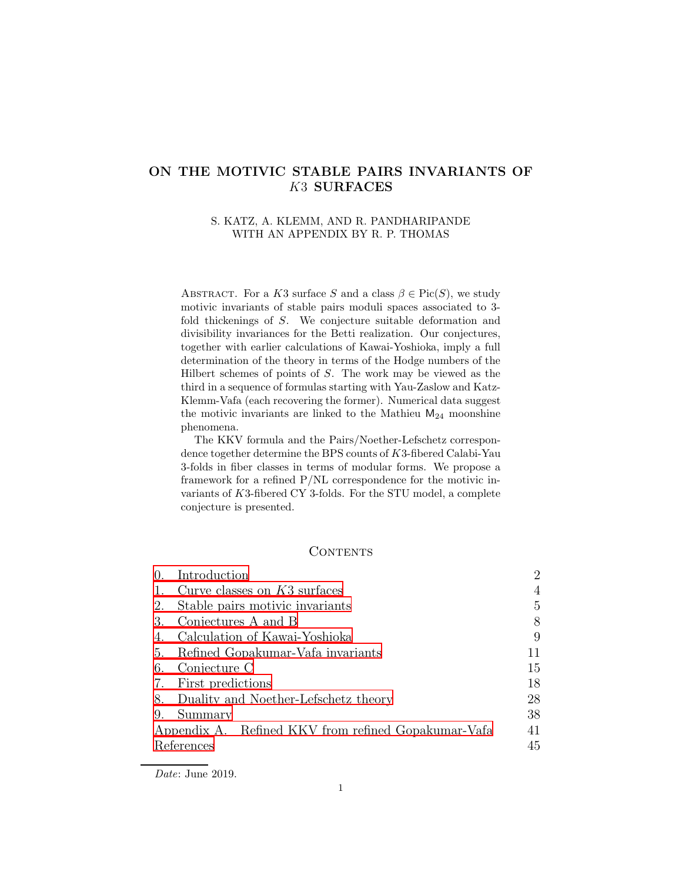# ON THE MOTIVIC STABLE PAIRS INVARIANTS OF K3 SURFACES

### S. KATZ, A. KLEMM, AND R. PANDHARIPANDE WITH AN APPENDIX BY R. P. THOMAS

ABSTRACT. For a K3 surface S and a class  $\beta \in Pic(S)$ , we study motivic invariants of stable pairs moduli spaces associated to 3 fold thickenings of S. We conjecture suitable deformation and divisibility invariances for the Betti realization. Our conjectures, together with earlier calculations of Kawai-Yoshioka, imply a full determination of the theory in terms of the Hodge numbers of the Hilbert schemes of points of  $S$ . The work may be viewed as the third in a sequence of formulas starting with Yau-Zaslow and Katz-Klemm-Vafa (each recovering the former). Numerical data suggest the motivic invariants are linked to the Mathieu  $M_{24}$  moonshine phenomena.

The KKV formula and the Pairs/Noether-Lefschetz correspondence together determine the BPS counts of K3-fibered Calabi-Yau 3-folds in fiber classes in terms of modular forms. We propose a framework for a refined P/NL correspondence for the motivic invariants of K3-fibered CY 3-folds. For the STU model, a complete conjecture is presented.

### **CONTENTS**

| Introduction                                        | 2  |  |  |  |  |  |  |
|-----------------------------------------------------|----|--|--|--|--|--|--|
| Curve classes on $K3$ surfaces<br>1.                |    |  |  |  |  |  |  |
| Stable pairs motivic invariants<br>2.               |    |  |  |  |  |  |  |
| Conjectures A and B                                 | 8  |  |  |  |  |  |  |
| Calculation of Kawai-Yoshioka                       | 9  |  |  |  |  |  |  |
| Refined Gopakumar-Vafa invariants                   | 11 |  |  |  |  |  |  |
| Conjecture C                                        | 15 |  |  |  |  |  |  |
| First predictions                                   | 18 |  |  |  |  |  |  |
| Duality and Noether-Lefschetz theory                | 28 |  |  |  |  |  |  |
| Summary                                             | 38 |  |  |  |  |  |  |
| Appendix A. Refined KKV from refined Gopakumar-Vafa | 41 |  |  |  |  |  |  |
| References                                          | 45 |  |  |  |  |  |  |
|                                                     |    |  |  |  |  |  |  |

Date: June 2019.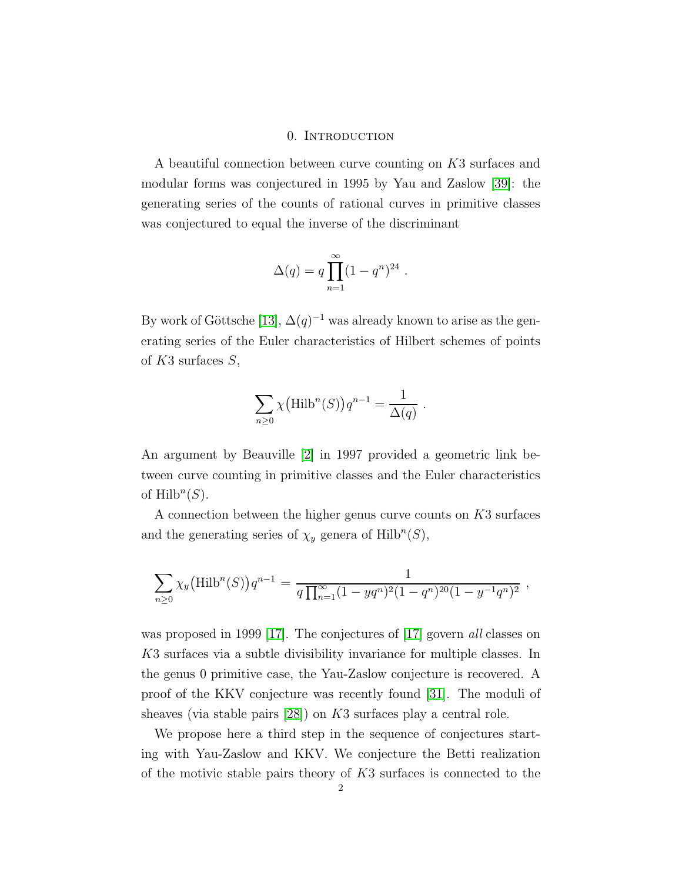#### 0. Introduction

<span id="page-1-0"></span>A beautiful connection between curve counting on K3 surfaces and modular forms was conjectured in 1995 by Yau and Zaslow [\[39\]](#page-46-0): the generating series of the counts of rational curves in primitive classes was conjectured to equal the inverse of the discriminant

$$
\Delta(q) = q \prod_{n=1}^{\infty} (1 - q^n)^{24} .
$$

By work of Göttsche [\[13\]](#page-45-0),  $\Delta(q)^{-1}$  was already known to arise as the generating series of the Euler characteristics of Hilbert schemes of points of  $K3$  surfaces  $S$ ,

$$
\sum_{n\geq 0} \chi\big(\text{Hilb}^n(S)\big)q^{n-1} = \frac{1}{\Delta(q)}
$$

.

An argument by Beauville [\[2\]](#page-44-1) in 1997 provided a geometric link between curve counting in primitive classes and the Euler characteristics of  $\mathrm{Hilb}^n(S)$ .

A connection between the higher genus curve counts on K3 surfaces and the generating series of  $\chi_y$  genera of Hilb<sup>n</sup>(S),

$$
\sum_{n\geq 0} \chi_y(\text{Hilb}^n(S))q^{n-1} = \frac{1}{q\prod_{n=1}^{\infty} (1 - yq^n)^2 (1 - q^n)^{20} (1 - y^{-1}q^n)^2},
$$

was proposed in 1999 [\[17\]](#page-45-1). The conjectures of [\[17\]](#page-45-1) govern all classes on K3 surfaces via a subtle divisibility invariance for multiple classes. In the genus 0 primitive case, the Yau-Zaslow conjecture is recovered. A proof of the KKV conjecture was recently found [\[31\]](#page-45-2). The moduli of sheaves (via stable pairs [\[28\]](#page-45-3)) on K3 surfaces play a central role.

We propose here a third step in the sequence of conjectures starting with Yau-Zaslow and KKV. We conjecture the Betti realization of the motivic stable pairs theory of K3 surfaces is connected to the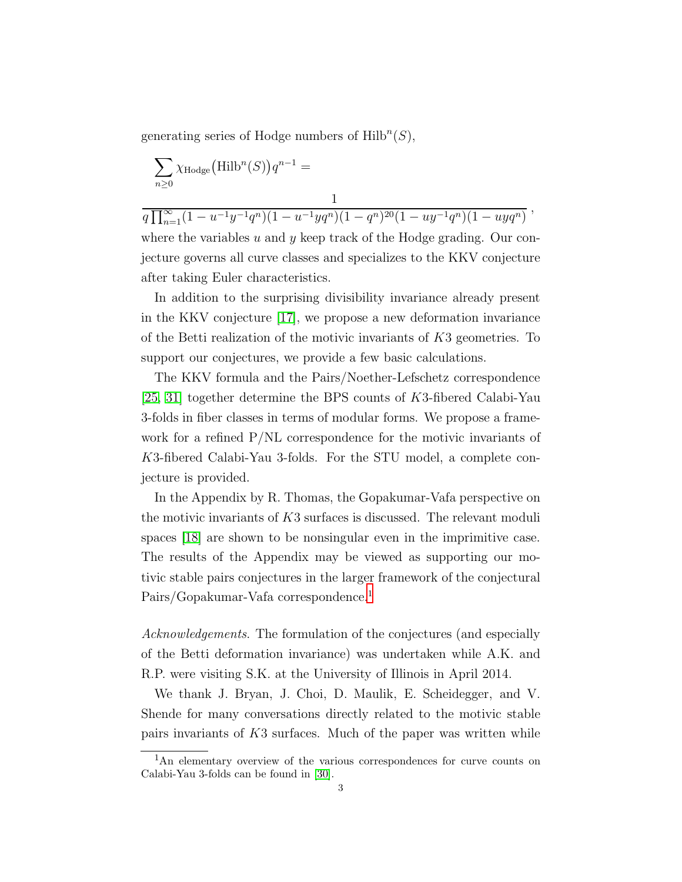generating series of Hodge numbers of  $\text{Hilb}^n(S)$ ,

$$
\sum_{n\geq 0}\chi_{\mathrm{Hodge}}\big(\mathrm{Hilb}^n(S)\big)q^{n-1}=
$$

after taking Euler characteristics.

1  $q \prod_{n=1}^{\infty} (1 - u^{-1}y^{-1}q^n)(1 - u^{-1}yq^n)(1 - q^n)^{20}(1 - uy^{-1}q^n)(1 - uyq^n)$ where the variables u and y keep track of the Hodge grading. Our conjecture governs all curve classes and specializes to the KKV conjecture

In addition to the surprising divisibility invariance already present in the KKV conjecture [\[17\]](#page-45-1), we propose a new deformation invariance of the Betti realization of the motivic invariants of  $K3$  geometries. To support our conjectures, we provide a few basic calculations.

The KKV formula and the Pairs/Noether-Lefschetz correspondence [\[25,](#page-45-4) [31\]](#page-45-2) together determine the BPS counts of K3-fibered Calabi-Yau 3-folds in fiber classes in terms of modular forms. We propose a framework for a refined P/NL correspondence for the motivic invariants of K3-fibered Calabi-Yau 3-folds. For the STU model, a complete conjecture is provided.

In the Appendix by R. Thomas, the Gopakumar-Vafa perspective on the motivic invariants of  $K3$  surfaces is discussed. The relevant moduli spaces [\[18\]](#page-45-5) are shown to be nonsingular even in the imprimitive case. The results of the Appendix may be viewed as supporting our motivic stable pairs conjectures in the larger framework of the conjectural Pairs/Gopakumar-Vafa correspondence.<sup>[1](#page-2-0)</sup>

Acknowledgements. The formulation of the conjectures (and especially of the Betti deformation invariance) was undertaken while A.K. and R.P. were visiting S.K. at the University of Illinois in April 2014.

We thank J. Bryan, J. Choi, D. Maulik, E. Scheidegger, and V. Shende for many conversations directly related to the motivic stable pairs invariants of K3 surfaces. Much of the paper was written while

<span id="page-2-0"></span><sup>&</sup>lt;sup>1</sup>An elementary overview of the various correspondences for curve counts on Calabi-Yau 3-folds can be found in [30].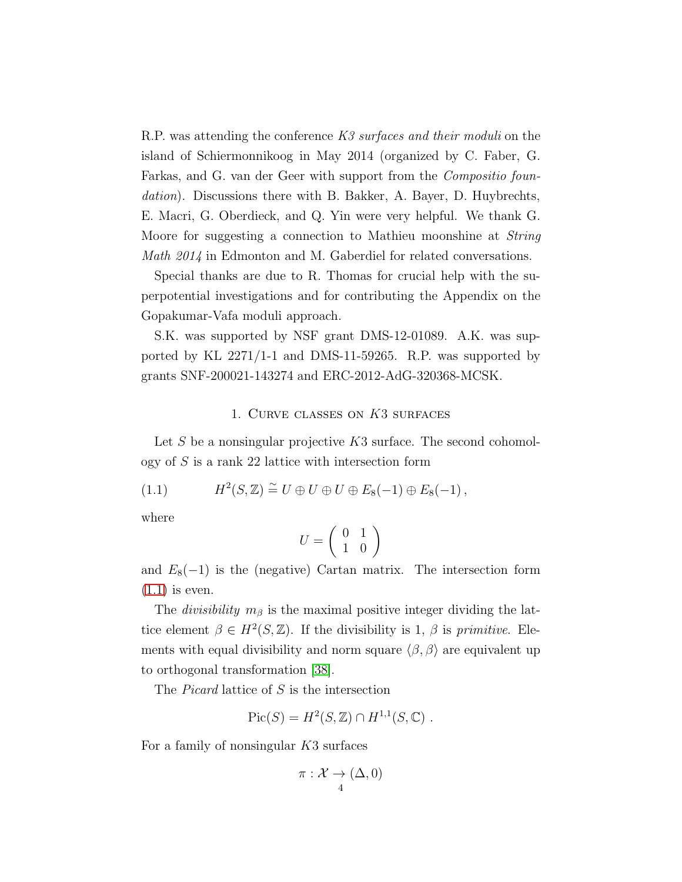R.P. was attending the conference K3 surfaces and their moduli on the island of Schiermonnikoog in May 2014 (organized by C. Faber, G. Farkas, and G. van der Geer with support from the Compositio foundation). Discussions there with B. Bakker, A. Bayer, D. Huybrechts, E. Macri, G. Oberdieck, and Q. Yin were very helpful. We thank G. Moore for suggesting a connection to Mathieu moonshine at String Math 2014 in Edmonton and M. Gaberdiel for related conversations.

Special thanks are due to R. Thomas for crucial help with the superpotential investigations and for contributing the Appendix on the Gopakumar-Vafa moduli approach.

S.K. was supported by NSF grant DMS-12-01089. A.K. was supported by KL 2271/1-1 and DMS-11-59265. R.P. was supported by grants SNF-200021-143274 and ERC-2012-AdG-320368-MCSK.

#### <span id="page-3-1"></span>1. Curve classes on K3 surfaces

<span id="page-3-0"></span>Let S be a nonsingular projective  $K3$  surface. The second cohomology of  $S$  is a rank 22 lattice with intersection form

(1.1) 
$$
H^2(S, \mathbb{Z}) \cong U \oplus U \oplus U \oplus E_8(-1) \oplus E_8(-1),
$$

where

$$
U=\left(\begin{array}{cc} 0 & 1 \\ 1 & 0 \end{array}\right)
$$

and  $E_8(-1)$  is the (negative) Cartan matrix. The intersection form  $(1.1)$  is even.

The *divisibility*  $m_\beta$  is the maximal positive integer dividing the lattice element  $\beta \in H^2(S, \mathbb{Z})$ . If the divisibility is 1,  $\beta$  is primitive. Elements with equal divisibility and norm square  $\langle \beta, \beta \rangle$  are equivalent up to orthogonal transformation [\[38\]](#page-46-1).

The Picard lattice of S is the intersection

$$
Pic(S) = H^2(S, \mathbb{Z}) \cap H^{1,1}(S, \mathbb{C}) .
$$

For a family of nonsingular K3 surfaces

$$
\pi: \mathcal{X} \to (\Delta, 0)
$$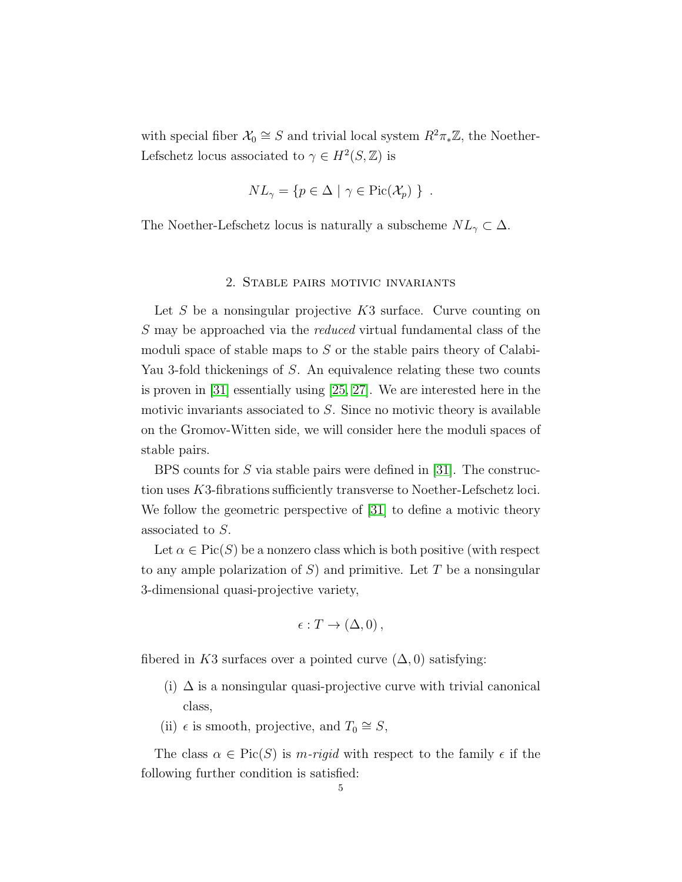with special fiber  $\mathcal{X}_0 \cong S$  and trivial local system  $R^2 \pi_* \mathbb{Z}$ , the Noether-Lefschetz locus associated to  $\gamma \in H^2(S, \mathbb{Z})$  is

$$
NL_{\gamma} = \{ p \in \Delta \mid \gamma \in Pic(\mathcal{X}_p) \} .
$$

<span id="page-4-0"></span>The Noether-Lefschetz locus is naturally a subscheme  $NL_{\gamma} \subset \Delta$ .

#### 2. Stable pairs motivic invariants

Let S be a nonsingular projective  $K3$  surface. Curve counting on S may be approached via the reduced virtual fundamental class of the moduli space of stable maps to  $S$  or the stable pairs theory of Calabi-Yau 3-fold thickenings of S. An equivalence relating these two counts is proven in [\[31\]](#page-45-2) essentially using [\[25,](#page-45-4) [27\]](#page-45-6). We are interested here in the motivic invariants associated to  $S$ . Since no motivic theory is available on the Gromov-Witten side, we will consider here the moduli spaces of stable pairs.

BPS counts for S via stable pairs were defined in [\[31\]](#page-45-2). The construction uses K3-fibrations sufficiently transverse to Noether-Lefschetz loci. We follow the geometric perspective of [\[31\]](#page-45-2) to define a motivic theory associated to S.

Let  $\alpha \in \text{Pic}(S)$  be a nonzero class which is both positive (with respect to any ample polarization of  $S$ ) and primitive. Let T be a nonsingular 3-dimensional quasi-projective variety,

$$
\epsilon: T \to (\Delta, 0),
$$

fibered in K3 surfaces over a pointed curve  $(\Delta, 0)$  satisfying:

- (i)  $\Delta$  is a nonsingular quasi-projective curve with trivial canonical class,
- (ii)  $\epsilon$  is smooth, projective, and  $T_0 \cong S$ ,

The class  $\alpha \in \text{Pic}(S)$  is m-rigid with respect to the family  $\epsilon$  if the following further condition is satisfied: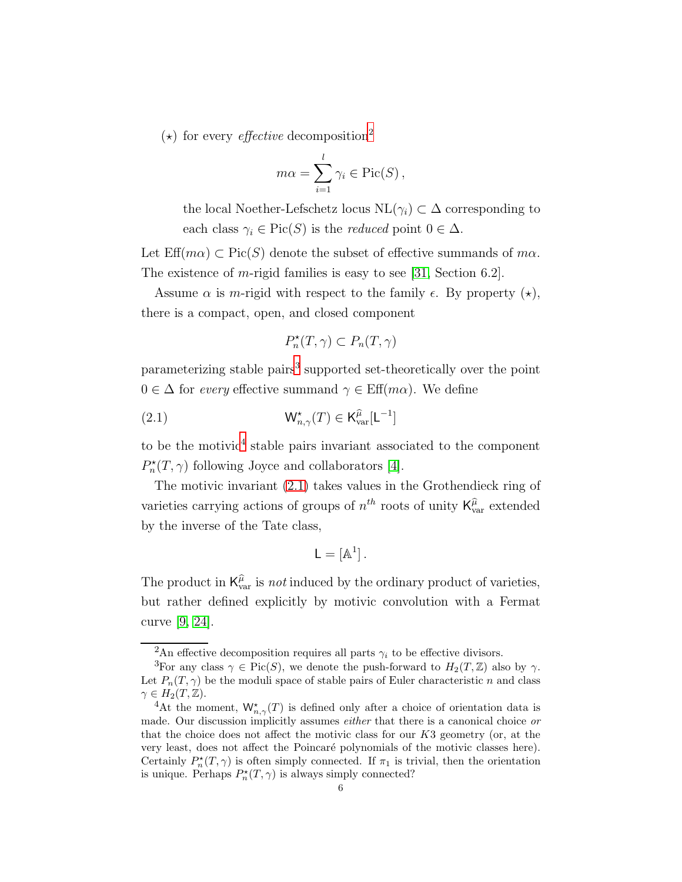$(\star)$  for every *effective* decomposition<sup>[2](#page-5-0)</sup>

$$
m\alpha = \sum_{i=1}^{l} \gamma_i \in \text{Pic}(S) ,
$$

the local Noether-Lefschetz locus  $NL(\gamma_i) \subset \Delta$  corresponding to each class  $\gamma_i \in \text{Pic}(S)$  is the *reduced* point  $0 \in \Delta$ .

Let  $\text{Eff}(m\alpha) \subset \text{Pic}(S)$  denote the subset of effective summands of  $m\alpha$ . The existence of m-rigid families is easy to see [\[31,](#page-45-2) Section 6.2].

Assume  $\alpha$  is *m*-rigid with respect to the family  $\epsilon$ . By property  $(\star)$ , there is a compact, open, and closed component

<span id="page-5-3"></span>
$$
P_n^{\star}(T,\gamma) \subset P_n(T,\gamma)
$$

parameterizing stable pairs<sup>[3](#page-5-1)</sup> supported set-theoretically over the point  $0 \in \Delta$  for every effective summand  $\gamma \in \text{Eff}(m\alpha)$ . We define

(2.1) 
$$
\mathsf{W}^{\star}_{n,\gamma}(T) \in \mathsf{K}^{\widehat{\mu}}_{\text{var}}[\mathsf{L}^{-1}]
$$

to be the motivic<sup>[4](#page-5-2)</sup> stable pairs invariant associated to the component  $P_n^{\star}(T,\gamma)$  following Joyce and collaborators [\[4\]](#page-44-2).

The motivic invariant [\(2.1\)](#page-5-3) takes values in the Grothendieck ring of varieties carrying actions of groups of  $n^{th}$  roots of unity  $\mathsf{K}^{\hat{\mu}}_{\text{var}}$  extended by the inverse of the Tate class,

$$
\mathsf{L}=[\mathbb{A}^1]\,.
$$

The product in  $K_{\text{var}}^{\hat{\mu}}$  is *not* induced by the ordinary product of varieties, but rather defined explicitly by motivic convolution with a Fermat curve [\[9,](#page-45-7) [24\]](#page-45-8).

<span id="page-5-0"></span><sup>&</sup>lt;sup>2</sup>An effective decomposition requires all parts  $\gamma_i$  to be effective divisors.

<span id="page-5-1"></span><sup>&</sup>lt;sup>3</sup>For any class  $\gamma \in Pic(S)$ , we denote the push-forward to  $H_2(T, \mathbb{Z})$  also by  $\gamma$ . Let  $P_n(T, \gamma)$  be the moduli space of stable pairs of Euler characteristic n and class  $\gamma \in H_2(T, \mathbb{Z}).$ 

<span id="page-5-2"></span><sup>&</sup>lt;sup>4</sup>At the moment,  $\mathsf{W}^{\star}_{n,\gamma}(T)$  is defined only after a choice of orientation data is made. Our discussion implicitly assumes *either* that there is a canonical choice or that the choice does not affect the motivic class for our K3 geometry (or, at the very least, does not affect the Poincar´e polynomials of the motivic classes here). Certainly  $P_n^{\star}(T,\gamma)$  is often simply connected. If  $\pi_1$  is trivial, then the orientation is unique. Perhaps  $P_n^{\star}(T,\gamma)$  is always simply connected?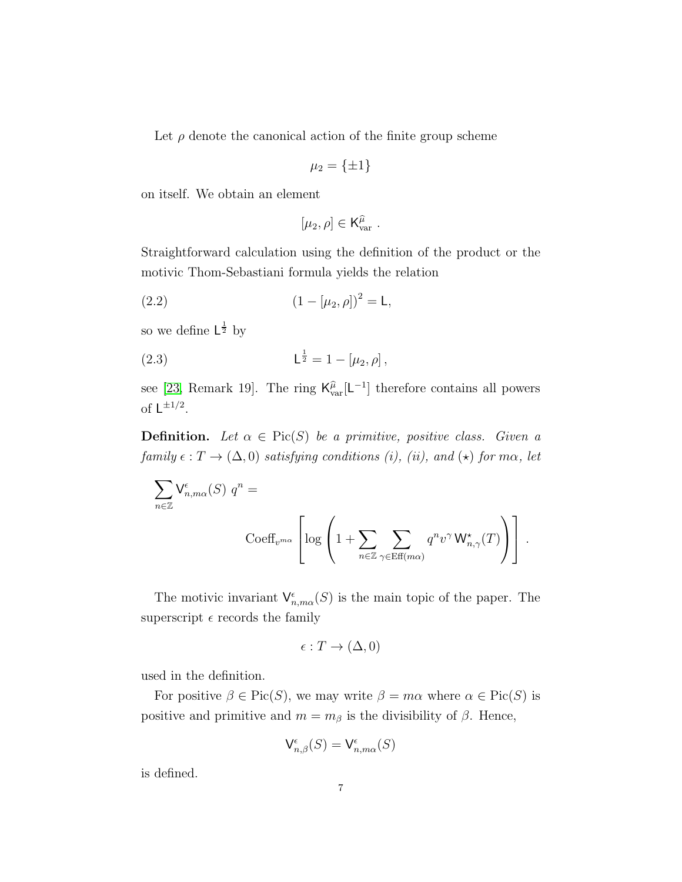Let  $\rho$  denote the canonical action of the finite group scheme

$$
\mu_2 = \{\pm 1\}
$$

on itself. We obtain an element

<span id="page-6-1"></span><span id="page-6-0"></span>
$$
[\mu_2,\rho]\in{\mathsf{K}}_{\mathrm{var}}^{\widehat{\mu}}\ .
$$

Straightforward calculation using the definition of the product or the motivic Thom-Sebastiani formula yields the relation

(2.2) 
$$
(1 - [\mu_2, \rho])^2 = L,
$$

so we define  $\mathsf{L}^{\frac{1}{2}}$  by

(2.3) 
$$
L^{\frac{1}{2}} = 1 - [\mu_2, \rho],
$$

see [\[23,](#page-45-9) Remark 19]. The ring  $\mathsf{K}_{\text{var}}^{\hat{\mu}}[\mathsf{L}^{-1}]$  therefore contains all powers of  $\mathsf{L}^{\pm 1/2}$ .

**Definition.** Let  $\alpha \in Pic(S)$  be a primitive, positive class. Given a family  $\epsilon: T \to (\Delta, 0)$  satisfying conditions (i), (ii), and ( $\star$ ) for m $\alpha$ , let

$$
\sum_{n\in\mathbb{Z}}\mathsf{V}^\epsilon_{n,m\alpha}(S)\,\,q^n=\sum_{\text{Coeff}_{v^{m\alpha}}}\left[\log\left(1+\sum_{n\in\mathbb{Z}}\sum_{\gamma\in\text{Eff}(m\alpha)}q^n v^\gamma\,\mathsf{W}^\star_{n,\gamma}(T)\right)\right]\,.
$$

The motivic invariant  $\mathsf{V}^{\epsilon}_{n,m\alpha}(S)$  is the main topic of the paper. The superscript  $\epsilon$  records the family

$$
\epsilon: T \to (\Delta, 0)
$$

used in the definition.

For positive  $\beta \in Pic(S)$ , we may write  $\beta = m\alpha$  where  $\alpha \in Pic(S)$  is positive and primitive and  $m = m_\beta$  is the divisibility of  $\beta$ . Hence,

$$
\mathsf{V}^\epsilon_{n,\beta}(S) = \mathsf{V}^\epsilon_{n,m\alpha}(S)
$$

is defined.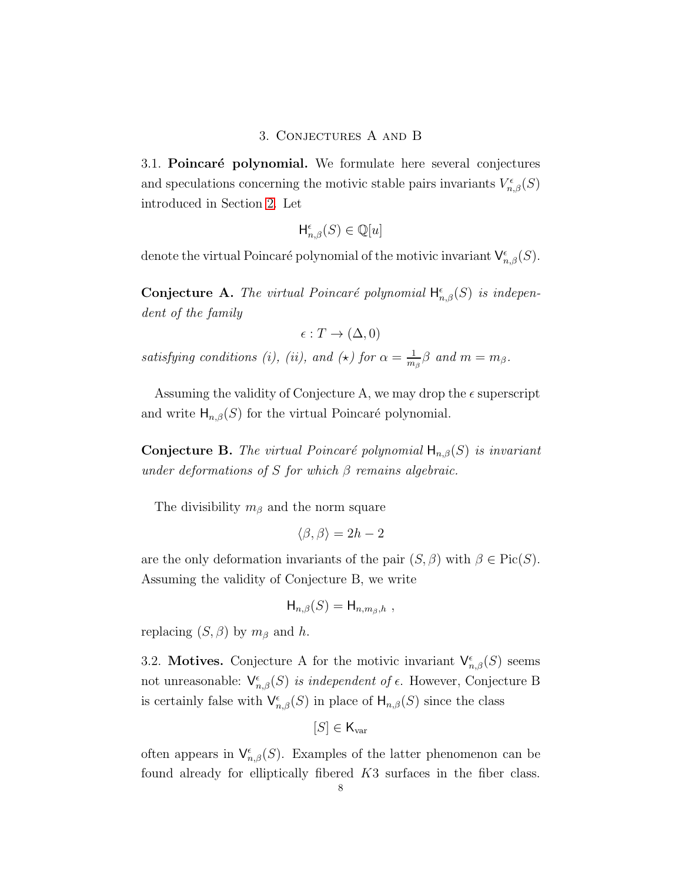### 3. Conjectures A and B

<span id="page-7-0"></span>3.1. Poincaré polynomial. We formulate here several conjectures and speculations concerning the motivic stable pairs invariants  $V_{n,\beta}^{\epsilon}(S)$ introduced in Section [2.](#page-6-0) Let

$$
\mathsf{H}^\epsilon_{n,\beta}(S) \in \mathbb{Q}[u]
$$

denote the virtual Poincaré polynomial of the motivic invariant  $\mathsf{V}^\epsilon_{n,\beta}(S)$ .

**Conjecture A.** The virtual Poincaré polynomial  $H_{n,\beta}^{\epsilon}(S)$  is independent of the family

$$
\epsilon: T \to (\Delta, 0)
$$

satisfying conditions (i), (ii), and ( $\star$ ) for  $\alpha = \frac{1}{m}$  $\frac{1}{m_\beta} \beta$  and  $m = m_\beta$ .

Assuming the validity of Conjecture A, we may drop the  $\epsilon$  superscript and write  $H_{n,\beta}(S)$  for the virtual Poincaré polynomial.

**Conjecture B.** The virtual Poincaré polynomial  $H_{n,\beta}(S)$  is invariant under deformations of S for which  $\beta$  remains algebraic.

The divisibility  $m_\beta$  and the norm square

$$
\langle \beta, \beta \rangle = 2h - 2
$$

are the only deformation invariants of the pair  $(S, \beta)$  with  $\beta \in Pic(S)$ . Assuming the validity of Conjecture B, we write

$$
\mathsf{H}_{n,\beta}(S) = \mathsf{H}_{n,m_{\beta},h} ,
$$

replacing  $(S, \beta)$  by  $m_\beta$  and h.

3.2. Motives. Conjecture A for the motivic invariant  $\mathsf{V}^{\epsilon}_{n,\beta}(S)$  seems not unreasonable:  $\mathsf{V}^{\epsilon}_{n,\beta}(S)$  is independent of  $\epsilon$ . However, Conjecture B is certainly false with  $\mathsf{V}^{\epsilon}_{n,\beta}(S)$  in place of  $\mathsf{H}_{n,\beta}(S)$  since the class

$$
[S] \in \mathsf{K}_{\text{var}}
$$

often appears in  $\mathsf{V}^{\epsilon}_{n,\beta}(S)$ . Examples of the latter phenomenon can be found already for elliptically fibered K3 surfaces in the fiber class.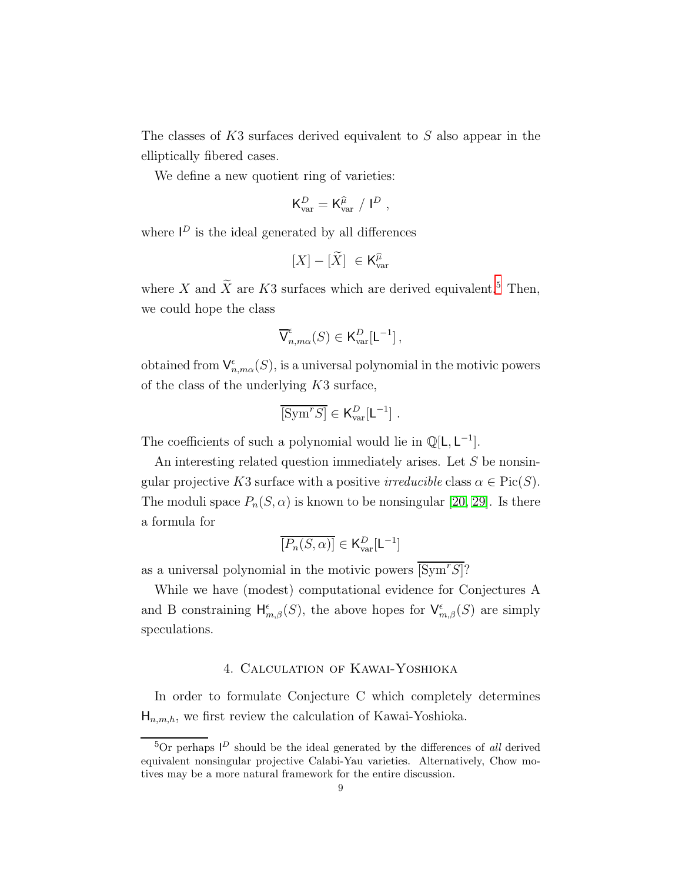The classes of K3 surfaces derived equivalent to S also appear in the elliptically fibered cases.

We define a new quotient ring of varieties:

$$
\mathsf{K}^D_{\mathrm{var}} = \mathsf{K}^{\widehat{\mu}}_{\mathrm{var}} \ / \ \mathsf{I}^D \ ,
$$

where  $\mathsf{I}^D$  is the ideal generated by all differences

$$
[X]-[\widetilde{X}]\ \in \mathsf{K}_{\mathrm{var}}^{\widehat{\mu}}
$$

where X and  $\widetilde{X}$  are K3 surfaces which are derived equivalent.<sup>[5](#page-8-1)</sup> Then, we could hope the class

$$
\overline{\mathsf{V}}^\epsilon_{n,m\alpha}(S) \in \mathsf{K}^D_{\text{var}}[\mathsf{L}^{-1}]\,,
$$

obtained from  $\mathsf{V}^\epsilon_{n,m\alpha}(S)$ , is a universal polynomial in the motivic powers of the class of the underlying K3 surface,

$$
\overline{[\mathrm{Sym}^rS]} \in \mathsf{K}_{\mathrm{var}}^D[\mathsf{L}^{-1}] \ .
$$

The coefficients of such a polynomial would lie in  $\mathbb{Q}[L, L^{-1}]$ .

An interesting related question immediately arises. Let S be nonsingular projective K3 surface with a positive *irreducible* class  $\alpha \in Pic(S)$ . The moduli space  $P_n(S, \alpha)$  is known to be nonsingular [\[20,](#page-45-10) [29\]](#page-45-11). Is there a formula for

$$
\overline{[P_n(S,\alpha)]} \in \mathsf{K}_{\text{var}}^D[\mathsf{L}^{-1}]
$$

as a universal polynomial in the motivic powers  $\overline{\text{Sym}^rS}$ ?

While we have (modest) computational evidence for Conjectures A and B constraining  $H_{m,\beta}^{\epsilon}(S)$ , the above hopes for  $\mathsf{V}_{m,\beta}^{\epsilon}(S)$  are simply speculations.

## 4. Calculation of Kawai-Yoshioka

<span id="page-8-0"></span>In order to formulate Conjecture C which completely determines  $H_{n,m,h}$ , we first review the calculation of Kawai-Yoshioka.

<span id="page-8-1"></span><sup>&</sup>lt;sup>5</sup>Or perhaps  $I^D$  should be the ideal generated by the differences of all derived equivalent nonsingular projective Calabi-Yau varieties. Alternatively, Chow motives may be a more natural framework for the entire discussion.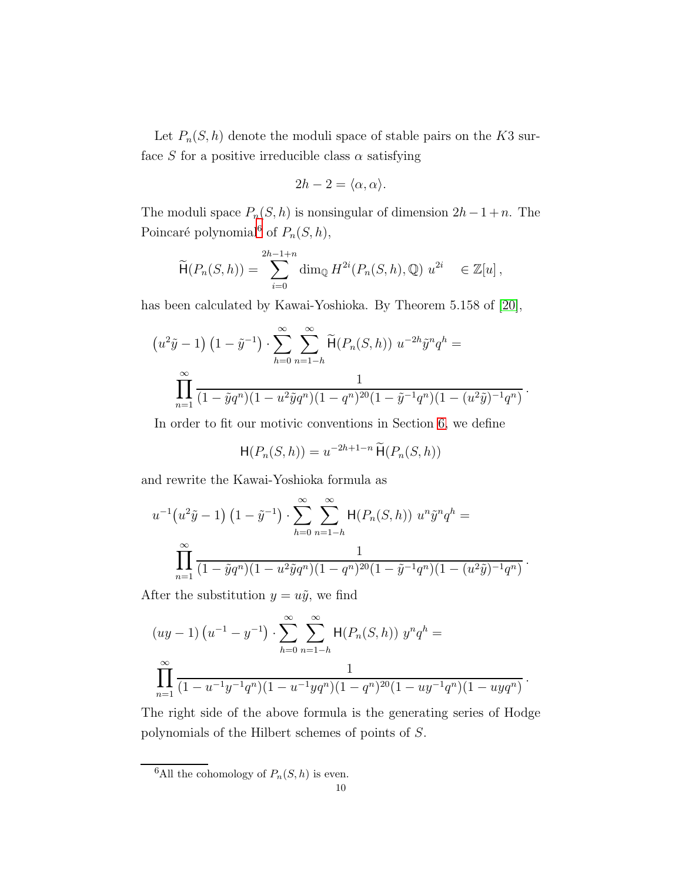Let  $P_n(S, h)$  denote the moduli space of stable pairs on the K3 surface S for a positive irreducible class  $\alpha$  satisfying

$$
2h - 2 = \langle \alpha, \alpha \rangle.
$$

The moduli space  $P_n(S, h)$  is nonsingular of dimension  $2h-1+n$ . The Poincaré polynomial<sup>[6](#page-9-0)</sup> of  $P_n(S, h)$ ,

$$
\widetilde{\mathsf{H}}(P_n(S,h)) = \sum_{i=0}^{2h-1+n} \dim_{\mathbb{Q}} H^{2i}(P_n(S,h), \mathbb{Q}) \ u^{2i} \in \mathbb{Z}[u],
$$

has been calculated by Kawai-Yoshioka. By Theorem 5.158 of [\[20\]](#page-45-10),

$$
(u^2\tilde{y} - 1) (1 - \tilde{y}^{-1}) \cdot \sum_{h=0}^{\infty} \sum_{n=1-h}^{\infty} \tilde{H}(P_n(S, h)) u^{-2h} \tilde{y}^n q^h = \prod_{n=1}^{\infty} \frac{1}{(1 - \tilde{y}q^n)(1 - u^2 \tilde{y}q^n)(1 - q^n)^{20}(1 - \tilde{y}^{-1}q^n)(1 - (u^2\tilde{y})^{-1}q^n)}.
$$

In order to fit our motivic conventions in Section [6,](#page-14-0) we define

$$
\mathsf{H}(P_n(S,h)) = u^{-2h+1-n} \widetilde{\mathsf{H}}(P_n(S,h))
$$

and rewrite the Kawai-Yoshioka formula as

$$
u^{-1}(u^2\tilde{y}-1) \left(1-\tilde{y}^{-1}\right) \cdot \sum_{h=0}^{\infty} \sum_{n=1-h}^{\infty} \mathsf{H}(P_n(S,h)) \ u^n \tilde{y}^n q^h = \prod_{n=1}^{\infty} \frac{1}{(1-\tilde{y}q^n)(1-u^2\tilde{y}q^n)(1-q^n)^{20}(1-\tilde{y}^{-1}q^n)(1-(u^2\tilde{y})^{-1}q^n)}.
$$

After the substitution  $y = u\tilde{y}$ , we find

$$
(uy-1)\left(u^{-1}-y^{-1}\right)\cdot\sum_{h=0}^{\infty}\sum_{n=1-h}^{\infty}H(P_n(S,h))y^nq^h=\prod_{n=1}^{\infty}\frac{1}{(1-u^{-1}y^{-1}q^n)(1-u^{-1}yq^n)(1-q^n)^{20}(1-uy^{-1}q^n)(1-uyq^n)}.
$$

The right side of the above formula is the generating series of Hodge polynomials of the Hilbert schemes of points of S.

<span id="page-9-0"></span><sup>&</sup>lt;sup>6</sup>All the cohomology of  $P_n(S, h)$  is even.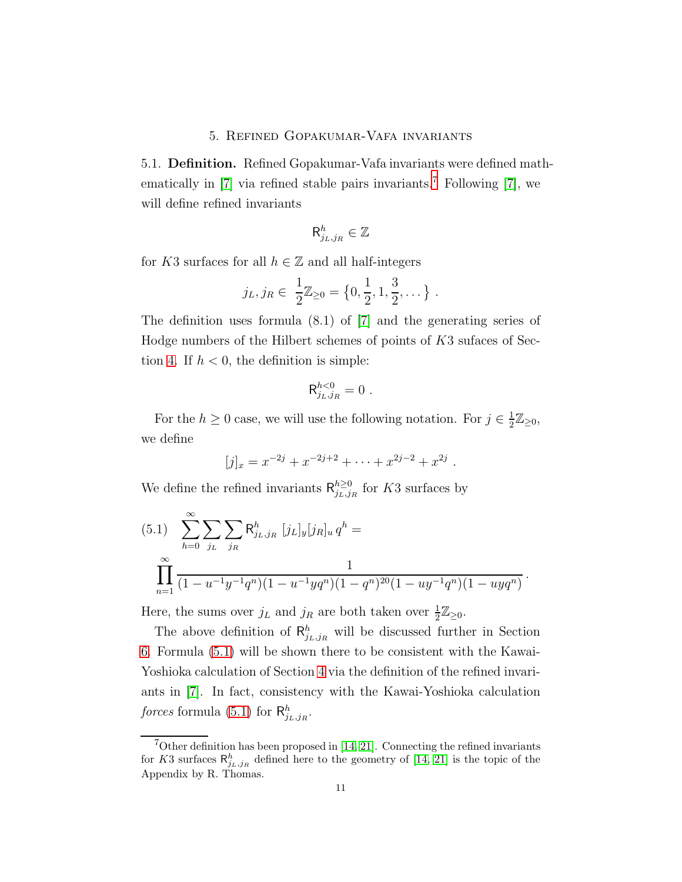### 5. Refined Gopakumar-Vafa invariants

<span id="page-10-0"></span>5.1. Definition. Refined Gopakumar-Vafa invariants were defined mathematically in  $[7]$  $[7]$  $[7]$  via refined stable pairs invariants.<sup>7</sup> Following  $[7]$ , we will define refined invariants

$$
\mathsf{R}^h_{j_L,j_R}\in\mathbb{Z}
$$

for K3 surfaces for all  $h \in \mathbb{Z}$  and all half-integers

$$
j_L, j_R \in \frac{1}{2}\mathbb{Z}_{\geq 0} = \left\{0, \frac{1}{2}, 1, \frac{3}{2}, \dots\right\}.
$$

The definition uses formula (8.1) of [\[7\]](#page-44-3) and the generating series of Hodge numbers of the Hilbert schemes of points of K3 sufaces of Sec-tion [4.](#page-8-0) If  $h < 0$ , the definition is simple:

$$
\mathsf{R}^{h<0}_{j_L,j_R}=0\ .
$$

For the  $h \geq 0$  case, we will use the following notation. For  $j \in \frac{1}{2}$  $\frac{1}{2}\mathbb{Z}_{\geq 0},$ we define

$$
[j]_x = x^{-2j} + x^{-2j+2} + \cdots + x^{2j-2} + x^{2j}.
$$

We define the refined invariants  $\mathsf{R}_{i_l,j}^{h\geq 0}$  $\sum_{j_L,j_R}^{n \geq 0}$  for K3 surfaces by

<span id="page-10-2"></span>(5.1) 
$$
\sum_{h=0}^{\infty} \sum_{j_L} \sum_{j_R} \mathsf{R}^h_{j_L,j_R} [j_L]_y [j_R]_u q^h =
$$

$$
\prod_{n=1}^{\infty} \frac{1}{(1 - u^{-1}y^{-1}q^n)(1 - u^{-1}yq^n)(1 - q^n)^{20}(1 - uy^{-1}q^n)(1 - uyq^n)}.
$$

Here, the sums over  $j_L$  and  $j_R$  are both taken over  $\frac{1}{2}\mathbb{Z}_{\geq 0}$ .

The above definition of  $\mathsf{R}^h_{j_L,j_R}$  will be discussed further in Section [6.](#page-14-0) Formula [\(5.1\)](#page-10-2) will be shown there to be consistent with the Kawai-Yoshioka calculation of Section [4](#page-8-0) via the definition of the refined invariants in [\[7\]](#page-44-3). In fact, consistency with the Kawai-Yoshioka calculation forces formula [\(5.1\)](#page-10-2) for  $R_{j_L,j_R}^h$ .

<span id="page-10-1"></span><sup>&</sup>lt;sup>7</sup>Other definition has been proposed in [\[14,](#page-45-12) [21\]](#page-45-13). Connecting the refined invariants for K3 surfaces  $\mathsf{R}_{j_L,j_R}^h$  defined here to the geometry of [\[14,](#page-45-12) [21\]](#page-45-13) is the topic of the Appendix by R. Thomas.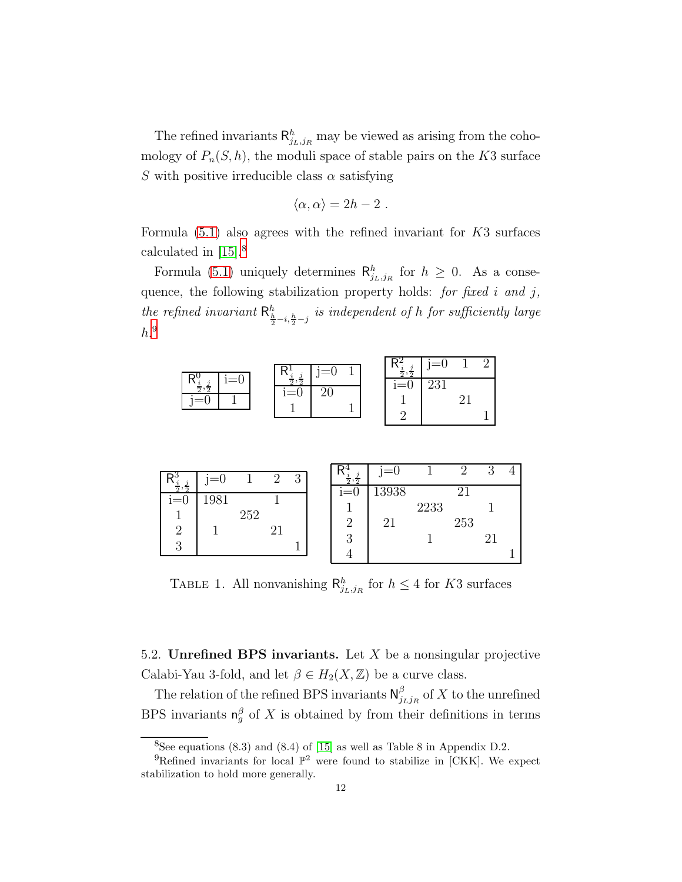The refined invariants  $\mathsf{R}^h_{j_L,j_R}$  may be viewed as arising from the cohomology of  $P_n(S, h)$ , the moduli space of stable pairs on the K3 surface S with positive irreducible class  $\alpha$  satisfying

$$
\langle \alpha, \alpha \rangle = 2h - 2 \; .
$$

Formula  $(5.1)$  also agrees with the refined invariant for  $K3$  surfaces calculated in [\[15\]](#page-45-14).[8](#page-11-0)

Formula [\(5.1\)](#page-10-2) uniquely determines  $\mathsf{R}_{j_L,j_R}^h$  for  $h \geq 0$ . As a consequence, the following stabilization property holds: for fixed i and j, the refined invariant  $\mathsf{R}_{\frac{h}{2}-i,\frac{h}{2}-j}^h$  is independent of h for sufficiently large  $h.^9$  $h.^9$ 

| $-\cap$  | ., | ı≕∪ | $\Omega$<br>$\Omega$ | $= 0$ |  |
|----------|----|-----|----------------------|-------|--|
| $\Omega$ |    | ≃ບ  | ı≡∪                  | 231   |  |

|       |     | റ | $\mathbf{Q}$ |  | $=0$  |      |     | ി |  |
|-------|-----|---|--------------|--|-------|------|-----|---|--|
| $=()$ |     |   | ◡            |  |       |      |     |   |  |
| 1981  |     |   |              |  | 13938 |      |     |   |  |
|       |     |   |              |  |       | 2233 |     |   |  |
|       | 252 |   |              |  | 21    |      | 253 |   |  |
|       |     |   |              |  |       |      |     | ີ |  |
|       |     |   |              |  |       |      |     |   |  |
|       |     |   |              |  |       |      |     |   |  |

TABLE 1. All nonvanishing  $\mathsf{R}^h_{j_L,j_R}$  for  $h \leq 4$  for K3 surfaces

5.2. Unrefined BPS invariants. Let  $X$  be a nonsingular projective Calabi-Yau 3-fold, and let  $\beta \in H_2(X, \mathbb{Z})$  be a curve class.

The relation of the refined BPS invariants  $\mathsf{N}_i^{\beta}$  $\int_{j_Lj_R}^{\rho}$  of  $X$  to the unrefined BPS invariants  $\mathsf{n}_{g}^{\beta}$  of X is obtained by from their definitions in terms

<span id="page-11-0"></span><sup>&</sup>lt;sup>8</sup>See equations  $(8.3)$  and  $(8.4)$  of  $[15]$  as well as Table 8 in Appendix D.2.

<span id="page-11-1"></span><sup>&</sup>lt;sup>9</sup>Refined invariants for local  $\mathbb{P}^2$  were found to stabilize in [CKK]. We expect stabilization to hold more generally.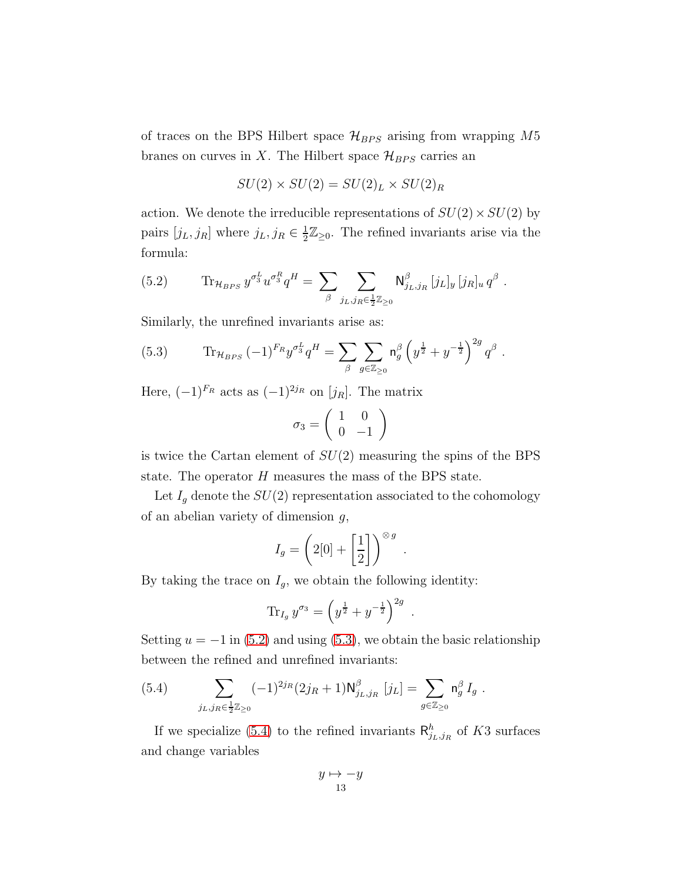of traces on the BPS Hilbert space  $\mathcal{H}_{BPS}$  arising from wrapping M5 branes on curves in X. The Hilbert space  $\mathcal{H}_{BPS}$  carries an

$$
SU(2) \times SU(2) = SU(2)_L \times SU(2)_R
$$

action. We denote the irreducible representations of  $SU(2) \times SU(2)$  by pairs  $[j_L, j_R]$  where  $j_L, j_R \in \frac{1}{2}$  $\frac{1}{2}\mathbb{Z}_{\geq 0}$ . The refined invariants arise via the formula:

<span id="page-12-0"></span>(5.2) 
$$
\text{Tr}_{\mathcal{H}_{BPS}} y^{\sigma_3^L} u^{\sigma_3^R} q^H = \sum_{\beta} \sum_{j_L, j_R \in \frac{1}{2} \mathbb{Z}_{\geq 0}} \mathsf{N}^{\beta}_{j_L, j_R} [j_L]_y [j_R]_u q^{\beta} .
$$

Similarly, the unrefined invariants arise as:

<span id="page-12-1"></span>(5.3) 
$$
\text{Tr}_{\mathcal{H}_{BPS}}(-1)^{F_R}y^{\sigma_3^L}q^H = \sum_{\beta}\sum_{g\in\mathbb{Z}_{\geq 0}}\mathsf{n}_g^{\beta}\left(y^{\frac{1}{2}}+y^{-\frac{1}{2}}\right)^{2g}q^{\beta}.
$$

Here,  $(-1)^{F_R}$  acts as  $(-1)^{2j_R}$  on  $[j_R]$ . The matrix

$$
\sigma_3 = \left(\begin{array}{cc} 1 & 0 \\ 0 & -1 \end{array}\right)
$$

is twice the Cartan element of  $SU(2)$  measuring the spins of the BPS state. The operator H measures the mass of the BPS state.

Let  $I_g$  denote the  $SU(2)$  representation associated to the cohomology of an abelian variety of dimension  $q$ ,

$$
I_g = \left(2[0] + \left[\frac{1}{2}\right]\right)^{\otimes g}
$$

.

.

By taking the trace on  $I_g$ , we obtain the following identity:

$$
\text{Tr}_{I_g} y^{\sigma_3} = \left( y^{\frac{1}{2}} + y^{-\frac{1}{2}} \right)^{2g}
$$

Setting  $u = -1$  in [\(5.2\)](#page-12-0) and using [\(5.3\)](#page-12-1), we obtain the basic relationship between the refined and unrefined invariants:

<span id="page-12-2"></span>(5.4) 
$$
\sum_{j_L,j_R \in \frac{1}{2}\mathbb{Z}_{\geq 0}} (-1)^{2j_R} (2j_R + 1) \mathsf{N}^{\beta}_{j_L,j_R} [j_L] = \sum_{g \in \mathbb{Z}_{\geq 0}} \mathsf{n}^{\beta}_g I_g.
$$

If we specialize [\(5.4\)](#page-12-2) to the refined invariants  $\mathsf{R}^h_{j_L,j_R}$  of K3 surfaces and change variables

$$
\begin{array}{c} y\mapsto -y\\ \textbf{13}\end{array}
$$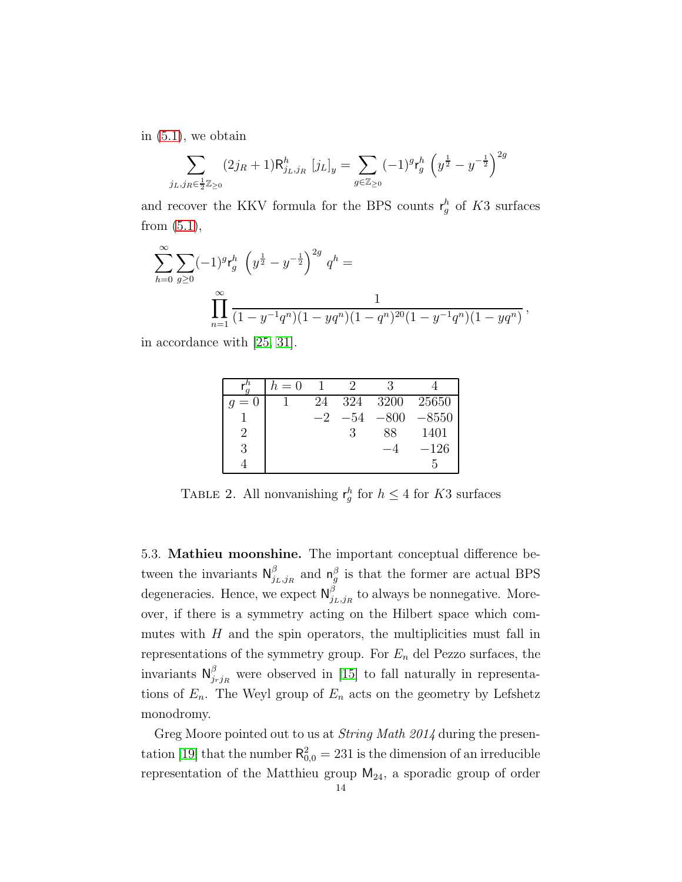in [\(5.1\)](#page-10-2), we obtain

$$
\sum_{j_L,j_R \in \frac{1}{2}\mathbb{Z}_{\geq 0}} (2j_R + 1) \mathsf{R}^h_{j_L,j_R} [j_L]_y = \sum_{g \in \mathbb{Z}_{\geq 0}} (-1)^g \mathsf{r}^h_g \left( y^{\frac{1}{2}} - y^{-\frac{1}{2}} \right)^{2g}
$$

and recover the KKV formula for the BPS counts  $r_g^h$  of K3 surfaces from  $(5.1)$ ,

$$
\sum_{h=0}^{\infty} \sum_{g\geq 0} (-1)^g r_g^h \left( y^{\frac{1}{2}} - y^{-\frac{1}{2}} \right)^{2g} q^h = \frac{1}{\prod_{n=1}^{\infty} \frac{1}{(1 - y^{-1}q^n)(1 - yq^n)(1 - q^n)^{20}(1 - y^{-1}q^n)(1 - yq^n)}},
$$

in accordance with [\[25,](#page-45-4) [31\]](#page-45-2).

|               | $h=0$ |      |       |        |         |
|---------------|-------|------|-------|--------|---------|
| $= 0$         |       | 24   | 324   | 3200   | 25650   |
|               |       | $-2$ | $-54$ | $-800$ | $-8550$ |
| $\mathcal{D}$ |       |      |       | 88     | 1401    |
| 3             |       |      |       |        | $-126$  |
|               |       |      |       |        |         |

TABLE 2. All nonvanishing  $r_g^h$  for  $h \leq 4$  for K3 surfaces

5.3. Mathieu moonshine. The important conceptual difference between the invariants  $\mathsf{N}_i^{\beta}$  $j_{L,jR}^{\beta}$  and  $\mathsf{n}_{g}^{\beta}$  is that the former are actual BPS degeneracies. Hence, we expect  $\mathsf{N}_i^{\beta}$  $\sum_{j_L,j_R}^{\rho}$  to always be nonnegative. Moreover, if there is a symmetry acting on the Hilbert space which commutes with  $H$  and the spin operators, the multiplicities must fall in representations of the symmetry group. For  $E_n$  del Pezzo surfaces, the invariants  $\mathsf{N}_i^{\beta}$  $j_{rj_R}$  were observed in [\[15\]](#page-45-14) to fall naturally in representations of  $E_n$ . The Weyl group of  $E_n$  acts on the geometry by Lefshetz monodromy.

Greg Moore pointed out to us at *String Math 2014* during the presen-tation [\[19\]](#page-45-15) that the number  $R_{0,0}^2 = 231$  is the dimension of an irreducible representation of the Matthieu group  $M_{24}$ , a sporadic group of order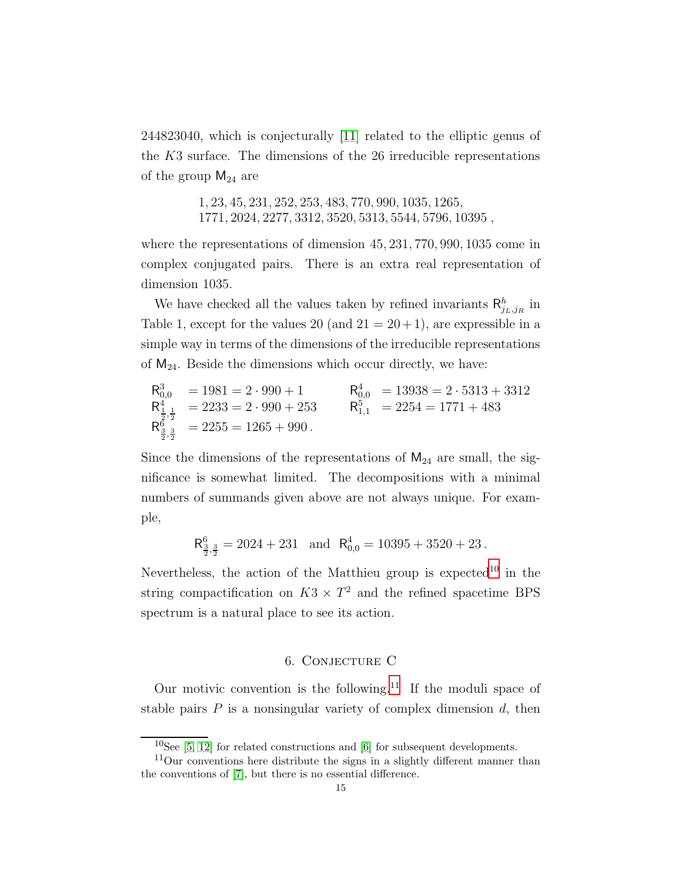244823040, which is conjecturally [\[11\]](#page-45-16) related to the elliptic genus of the K3 surface. The dimensions of the 26 irreducible representations of the group  $M_{24}$  are

> 1, 23, 45, 231, 252, 253, 483, 770, 990, 1035, 1265, 1771, 2024, 2277, 3312, 3520, 5313, 5544, 5796, 10395 ,

where the representations of dimension 45, 231, 770, 990, 1035 come in complex conjugated pairs. There is an extra real representation of dimension 1035.

We have checked all the values taken by refined invariants  $\mathsf{R}^h_{j_L,j_R}$  in Table 1, except for the values 20 (and  $21 = 20 + 1$ ), are expressible in a simple way in terms of the dimensions of the irreducible representations of  $M_{24}$ . Beside the dimensions which occur directly, we have:

$$
R_{0,0}^3 = 1981 = 2 \cdot 990 + 1
$$
  
\n $R_{1,1}^4 = 2233 = 2 \cdot 990 + 253$   
\n $R_{1,1}^5 = 2254 = 1771 + 483$   
\n $R_{2,3}^6 = 2255 = 1265 + 990$ .  
\n $R_{3,3}^5 = 2255 = 1265 + 990$ .

Since the dimensions of the representations of  $M_{24}$  are small, the significance is somewhat limited. The decompositions with a minimal numbers of summands given above are not always unique. For example,

 $R_{\frac{3}{2},\frac{3}{2}}^6 = 2024 + 231$  and  $R_{0,0}^4 = 10395 + 3520 + 23$ .

Nevertheless, the action of the Matthieu group is  $expected^{10}$  $expected^{10}$  $expected^{10}$  in the string compactification on  $K3 \times T^2$  and the refined spacetime BPS spectrum is a natural place to see its action.

## 6. Conjecture C

<span id="page-14-0"></span>Our motivic convention is the following.<sup>[11](#page-14-2)</sup> If the moduli space of stable pairs  $P$  is a nonsingular variety of complex dimension  $d$ , then

<span id="page-14-1"></span> $10$ See [\[5,](#page-44-4) [12\]](#page-45-17) for related constructions and [\[6\]](#page-44-5) for subsequent developments.

<span id="page-14-2"></span> $11$ Our conventions here distribute the signs in a slightly different manner than the conventions of [\[7\]](#page-44-3), but there is no essential difference.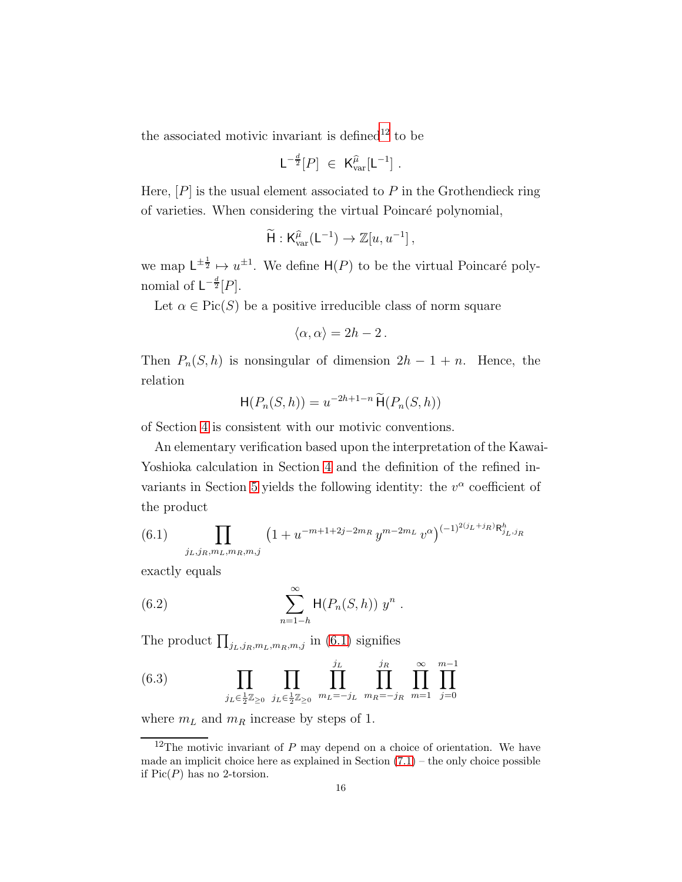the associated motivic invariant is defined<sup>[12](#page-15-0)</sup> to be

$$
\mathsf{L}^{-\frac{d}{2}}[P] \ \in \ \mathsf{K}_{\mathrm{var}}^{\widehat{\mu}}[\mathsf{L}^{-1}]\ .
$$

Here,  $[P]$  is the usual element associated to P in the Grothendieck ring of varieties. When considering the virtual Poincaré polynomial,

$$
\widetilde{\mathsf{H}}:\mathsf{K}_{\mathrm{var}}^{\widehat{\mu}}(\mathsf{L}^{-1})\to \mathbb{Z}[u,u^{-1}],
$$

we map  $L^{\pm \frac{1}{2}} \mapsto u^{\pm 1}$ . We define  $H(P)$  to be the virtual Poincaré polynomial of  $\mathsf{L}^{-\frac{d}{2}}[P].$ 

Let  $\alpha \in Pic(S)$  be a positive irreducible class of norm square

$$
\langle \alpha, \alpha \rangle = 2h - 2 \, .
$$

Then  $P_n(S, h)$  is nonsingular of dimension  $2h - 1 + n$ . Hence, the relation

$$
\mathsf{H}(P_n(S,h)) = u^{-2h+1-n} \widetilde{\mathsf{H}}(P_n(S,h))
$$

of Section [4](#page-8-0) is consistent with our motivic conventions.

An elementary verification based upon the interpretation of the Kawai-Yoshioka calculation in Section [4](#page-8-0) and the definition of the refined in-variants in Section [5](#page-10-0) yields the following identity: the  $v^{\alpha}$  coefficient of the product

<span id="page-15-1"></span>(6.1) 
$$
\prod_{j_L, j_R, m_L, m_R, m, j} \left(1 + u^{-m+1+2j-2m_R} y^{m-2m_L} v^{\alpha}\right)^{(-1)^{2(j_L+j_R)} \mathsf{R}^h_{j_L, j_R}}
$$

exactly equals

<span id="page-15-2"></span>(6.2) 
$$
\sum_{n=1-h}^{\infty} \mathsf{H}(P_n(S,h)) y^n .
$$

The product  $\prod_{j_L,j_R,m_L,m_R,m,j}$  in [\(6.1\)](#page-15-1) signifies

<span id="page-15-3"></span>(6.3) 
$$
\prod_{j_L \in \frac{1}{2}\mathbb{Z}_{\geq 0}} \prod_{j_L \in \frac{1}{2}\mathbb{Z}_{\geq 0}} \prod_{m_L = -j_L}^{j_L} \prod_{m_R = -j_R}^{j_R} \prod_{m=1}^{\infty} \prod_{j=0}^{m-1}
$$

where  $m<sub>L</sub>$  and  $m<sub>R</sub>$  increase by steps of 1.

<span id="page-15-0"></span> $12$ The motivic invariant of P may depend on a choice of orientation. We have made an implicit choice here as explained in Section  $(7.1)$  – the only choice possible if  $Pic(P)$  has no 2-torsion.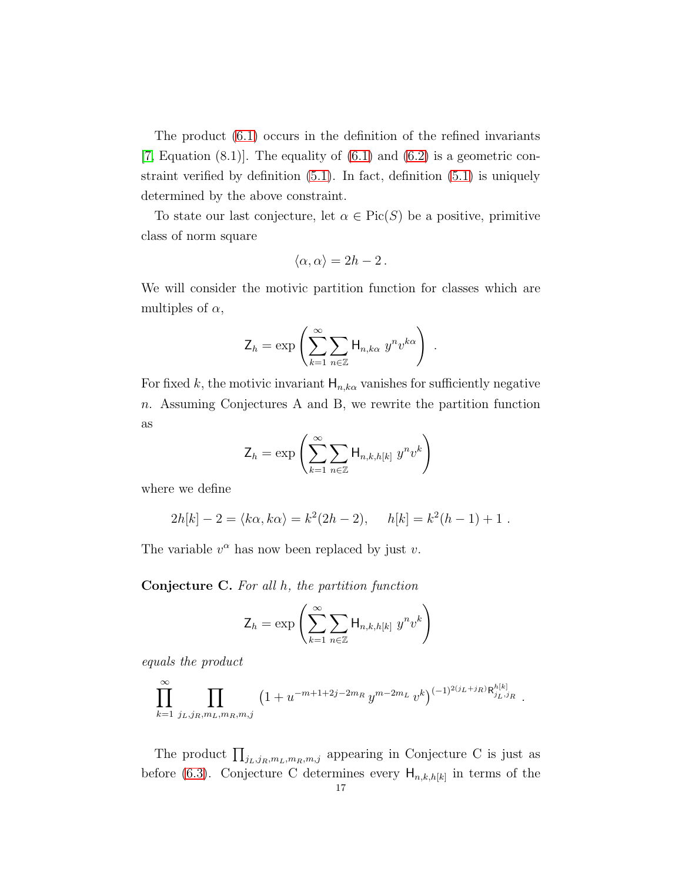The product [\(6.1\)](#page-15-1) occurs in the definition of the refined invariants [\[7,](#page-44-3) Equation  $(8.1)$ ]. The equality of  $(6.1)$  and  $(6.2)$  is a geometric constraint verified by definition [\(5.1\)](#page-10-2). In fact, definition [\(5.1\)](#page-10-2) is uniquely determined by the above constraint.

To state our last conjecture, let  $\alpha \in Pic(S)$  be a positive, primitive class of norm square

$$
\langle \alpha, \alpha \rangle = 2h - 2 \, .
$$

We will consider the motivic partition function for classes which are multiples of  $\alpha$ ,

$$
\mathsf{Z}_h = \exp\left(\sum_{k=1}^{\infty} \sum_{n \in \mathbb{Z}} \mathsf{H}_{n,k\alpha} \, y^n v^{k\alpha}\right) \; .
$$

For fixed k, the motivic invariant  $H_{n,k\alpha}$  vanishes for sufficiently negative n. Assuming Conjectures A and B, we rewrite the partition function as

$$
\mathsf{Z}_h = \exp\left(\sum_{k=1}^{\infty} \sum_{n \in \mathbb{Z}} \mathsf{H}_{n,k,h[k]} y^n v^k\right)
$$

where we define

$$
2h[k] - 2 = \langle k\alpha, k\alpha \rangle = k^2(2h - 2), \quad h[k] = k^2(h - 1) + 1.
$$

The variable  $v^{\alpha}$  has now been replaced by just v.

Conjecture C. For all h, the partition function

$$
\mathsf{Z}_h = \exp\left(\sum_{k=1}^{\infty} \sum_{n \in \mathbb{Z}} \mathsf{H}_{n,k,h[k]} y^n v^k\right)
$$

equals the product

$$
\prod_{k=1}^{\infty} \prod_{j_L, j_R, m_L, m_R, m, j} \left( 1 + u^{-m+1+2j-2m_R} y^{m-2m_L} v^k \right)^{(-1)^{2(j_L+j_R)} \mathsf{R}_{j_L, j_R}^{h[k]} }.
$$

The product  $\prod_{j_L,j_R,m_L,m_R,m,j}$  appearing in Conjecture C is just as before [\(6.3\)](#page-15-3). Conjecture C determines every  $H_{n,k,h[k]}$  in terms of the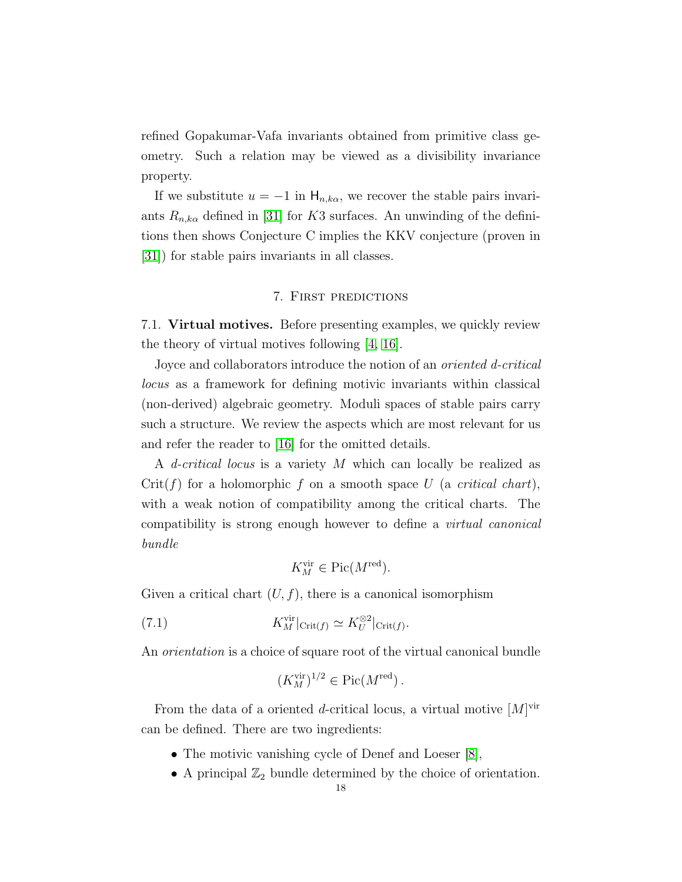refined Gopakumar-Vafa invariants obtained from primitive class geometry. Such a relation may be viewed as a divisibility invariance property.

If we substitute  $u = -1$  in  $H_{n,k\alpha}$ , we recover the stable pairs invariants  $R_{n,k\alpha}$  defined in [\[31\]](#page-45-2) for K3 surfaces. An unwinding of the definitions then shows Conjecture C implies the KKV conjecture (proven in [\[31\]](#page-45-2)) for stable pairs invariants in all classes.

### 7. First predictions

<span id="page-17-1"></span><span id="page-17-0"></span>7.1. Virtual motives. Before presenting examples, we quickly review the theory of virtual motives following [\[4,](#page-44-2) [16\]](#page-45-18).

Joyce and collaborators introduce the notion of an *oriented d-critical* locus as a framework for defining motivic invariants within classical (non-derived) algebraic geometry. Moduli spaces of stable pairs carry such a structure. We review the aspects which are most relevant for us and refer the reader to [\[16\]](#page-45-18) for the omitted details.

A *d-critical locus* is a variety M which can locally be realized as  $Crit(f)$  for a holomorphic f on a smooth space U (a critical chart), with a weak notion of compatibility among the critical charts. The compatibility is strong enough however to define a virtual canonical bundle

<span id="page-17-2"></span>
$$
K_M^{\text{vir}} \in \text{Pic}(M^{\text{red}}).
$$

Given a critical chart  $(U, f)$ , there is a canonical isomorphism

(7.1) 
$$
K_M^{\text{vir}}|_{\text{Crit}(f)} \simeq K_U^{\otimes 2}|_{\text{Crit}(f)}.
$$

An orientation is a choice of square root of the virtual canonical bundle

$$
(K_M^{\text{vir}})^{1/2} \in \text{Pic}(M^{\text{red}}).
$$

From the data of a oriented *d*-critical locus, a virtual motive  $[M]^{vir}$ can be defined. There are two ingredients:

- The motivic vanishing cycle of Denef and Loeser [\[8\]](#page-45-19),
- A principal  $\mathbb{Z}_2$  bundle determined by the choice of orientation.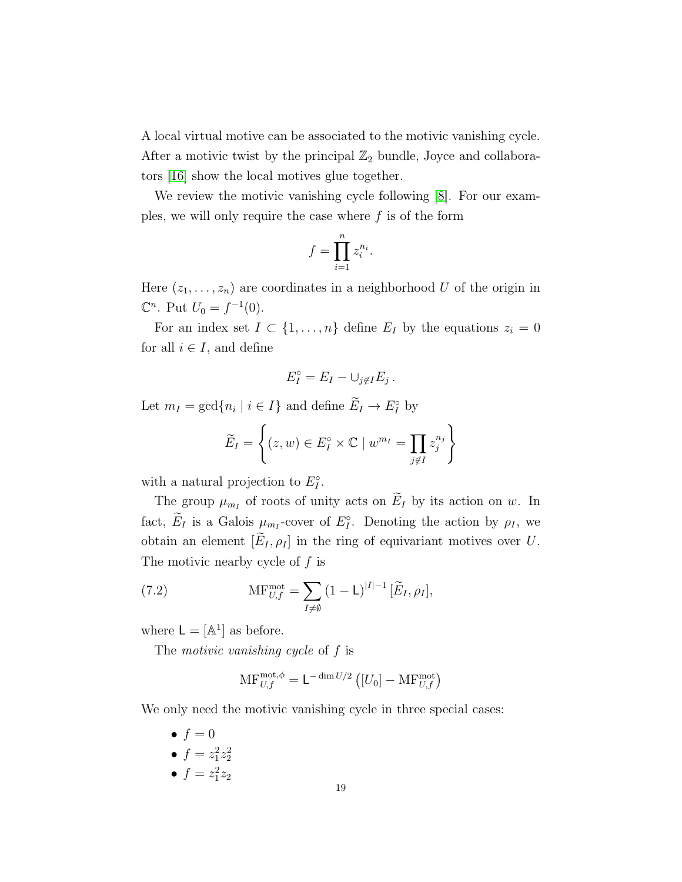A local virtual motive can be associated to the motivic vanishing cycle. After a motivic twist by the principal  $\mathbb{Z}_2$  bundle, Joyce and collaborators [\[16\]](#page-45-18) show the local motives glue together.

We review the motivic vanishing cycle following [\[8\]](#page-45-19). For our examples, we will only require the case where  $f$  is of the form

$$
f = \prod_{i=1}^n z_i^{n_i}.
$$

Here  $(z_1, \ldots, z_n)$  are coordinates in a neighborhood U of the origin in  $\mathbb{C}^n$ . Put  $U_0 = f^{-1}(0)$ .

For an index set  $I \subset \{1, \ldots, n\}$  define  $E_I$  by the equations  $z_i = 0$ for all  $i \in I$ , and define

$$
E_I^\circ = E_I - \cup_{j \notin I} E_j.
$$

Let  $m_I = \gcd\{n_i \mid i \in I\}$  and define  $E_I \to E_I^{\circ}$  by

$$
\widetilde{E}_I = \left\{ (z, w) \in E_I^{\circ} \times \mathbb{C} \mid w^{m_I} = \prod_{j \notin I} z_j^{n_j} \right\}
$$

with a natural projection to  $E_I^{\circ}$ .

The group  $\mu_{m_I}$  of roots of unity acts on  $E_I$  by its action on w. In fact,  $E_I$  is a Galois  $\mu_{m_I}$ -cover of  $E_I^{\circ}$ . Denoting the action by  $\rho_I$ , we obtain an element  $[\widetilde{E}_I, \rho_I]$  in the ring of equivariant motives over U. The motivic nearby cycle of f is

(7.2) 
$$
\operatorname{MF}_{U,f}^{\text{mot}} = \sum_{I \neq \emptyset} (1 - \mathsf{L})^{|I|-1} [\widetilde{E}_I, \rho_I],
$$

where  $\mathsf{L} = [\mathbb{A}^1]$  as before.

The *motivic vanishing cycle* of f is

<span id="page-18-0"></span>
$$
\mathrm{MF}_{U,f}^{\mathrm{mot},\phi} = \mathsf{L}^{-\dim U/2} \left( [U_0] - \mathrm{MF}_{U,f}^{\mathrm{mot}} \right)
$$

We only need the motivic vanishing cycle in three special cases:

 $\bullet$   $f = 0$ •  $f = z_1^2 z_2^2$ •  $f = z_1^2 z_2$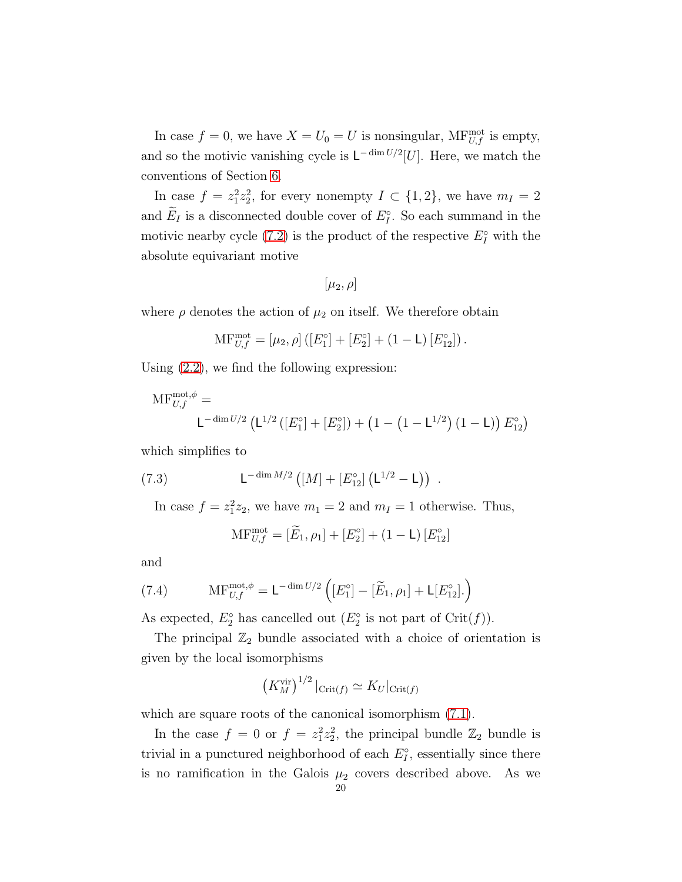In case  $f = 0$ , we have  $X = U_0 = U$  is nonsingular, MF $_{U,f}^{\text{mot}}$  is empty, and so the motivic vanishing cycle is  $\mathsf{L}^{-\dim U/2}[U]$ . Here, we match the conventions of Section [6.](#page-14-0)

In case  $f = z_1^2 z_2^2$ , for every nonempty  $I \subset \{1, 2\}$ , we have  $m_I = 2$ and  $E_I$  is a disconnected double cover of  $E_I^{\circ}$ . So each summand in the motivic nearby cycle [\(7.2\)](#page-18-0) is the product of the respective  $E_I^{\circ}$  with the absolute equivariant motive

$$
[\mu_2,\rho]
$$

where  $\rho$  denotes the action of  $\mu_2$  on itself. We therefore obtain

$$
\mathrm{MF}_{U,f}^{\mathrm{mot}} = [\mu_2, \rho] ([E_1^{\circ}] + [E_2^{\circ}] + (1 - \mathsf{L}) [E_{12}^{\circ}]).
$$

Using [\(2.2\)](#page-6-1), we find the following expression:

$$
\mathrm{MF}_{U,f}^{\text{mot},\phi} = \mathsf{L}^{-\dim U/2} \left( \mathsf{L}^{1/2} \left( [E_1^{\circ}] + [E_2^{\circ}] \right) + \left( 1 - \left( 1 - \mathsf{L}^{1/2} \right) \left( 1 - \mathsf{L} \right) \right) E_{12}^{\circ} \right)
$$

which simplifies to

(7.3) 
$$
L^{-\dim M/2} \left( [M] + [E_{12}^{\circ}] \left( L^{1/2} - L \right) \right) .
$$

In case  $f = z_1^2 z_2$ , we have  $m_1 = 2$  and  $m_I = 1$  otherwise. Thus,

<span id="page-19-1"></span><span id="page-19-0"></span>
$$
\text{MF}_{U,f}^{\text{mot}} = [\widetilde{E}_1, \rho_1] + [E_2^{\circ}] + (1 - \mathsf{L}) [E_{12}^{\circ}]
$$

and

(7.4) 
$$
\mathrm{MF}_{U,f}^{\mathrm{mot},\phi} = \mathsf{L}^{-\dim U/2} \left( [E_1^{\circ}] - [\widetilde{E}_1, \rho_1] + \mathsf{L}[E_{12}^{\circ}]. \right)
$$

As expected,  $E_2^{\circ}$  has cancelled out  $(E_2^{\circ}$  is not part of Crit $(f)$ ).

The principal  $\mathbb{Z}_2$  bundle associated with a choice of orientation is given by the local isomorphisms

$$
\left(K_M^{\text{vir}}\right)^{1/2}|_{\text{Crit}(f)} \simeq K_U|_{\text{Crit}(f)}
$$

which are square roots of the canonical isomorphism  $(7.1)$ .

In the case  $f = 0$  or  $f = z_1^2 z_2^2$ , the principal bundle  $\mathbb{Z}_2$  bundle is trivial in a punctured neighborhood of each  $E_I^{\circ}$ , essentially since there is no ramification in the Galois  $\mu_2$  covers described above. As we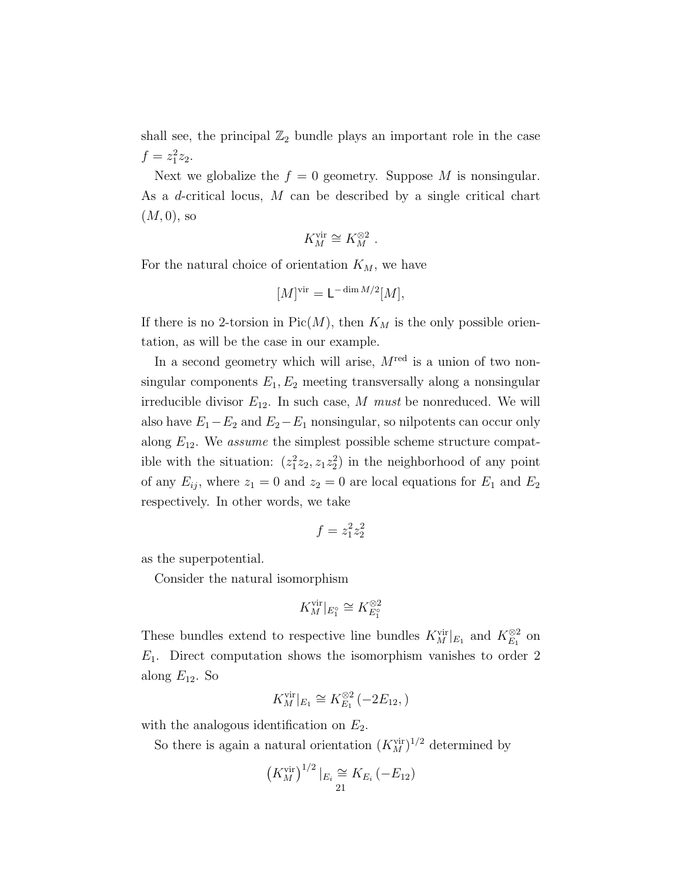shall see, the principal  $\mathbb{Z}_2$  bundle plays an important role in the case  $f = z_1^2 z_2.$ 

Next we globalize the  $f = 0$  geometry. Suppose M is nonsingular. As a d-critical locus, M can be described by a single critical chart  $(M, 0)$ , so

$$
K_M^{\mathrm{vir}} \cong K_M^{\otimes 2}
$$
 .

For the natural choice of orientation  $K_M$ , we have

$$
[M]^\text{vir} = \mathsf{L}^{-\dim M/2}[M],
$$

If there is no 2-torsion in  $Pic(M)$ , then  $K_M$  is the only possible orientation, as will be the case in our example.

In a second geometry which will arise,  $M^{\text{red}}$  is a union of two nonsingular components  $E_1, E_2$  meeting transversally along a nonsingular irreducible divisor  $E_{12}$ . In such case, M must be nonreduced. We will also have  $E_1 - E_2$  and  $E_2 - E_1$  nonsingular, so nilpotents can occur only along  $E_{12}$ . We *assume* the simplest possible scheme structure compatible with the situation:  $(z_1^2 z_2, z_1 z_2^2)$  in the neighborhood of any point of any  $E_{ij}$ , where  $z_1 = 0$  and  $z_2 = 0$  are local equations for  $E_1$  and  $E_2$ respectively. In other words, we take

$$
f=z_1^2z_2^2\\
$$

as the superpotential.

Consider the natural isomorphism

$$
K_M^{\mathrm{vir}}|_{E_1^{\circ}} \cong K_{E_1^{\circ}}^{\otimes 2}
$$

These bundles extend to respective line bundles  $K_M^{\text{vir}}|_{E_1}$  and  $K_{E_1}^{\otimes 2}$  on  $E_1$ . Direct computation shows the isomorphism vanishes to order 2 along  $E_{12}$ . So

$$
K_M^{\text{vir}}|_{E_1} \cong K_{E_1}^{\otimes 2}(-2E_{12},)
$$

with the analogous identification on  $E_2$ .

So there is again a natural orientation  $(K_M^{\text{vir}})^{1/2}$  determined by

$$
(K_M^{\text{vir}})^{1/2} |_{E_i} \cong K_{E_i} (-E_{12})
$$
  
21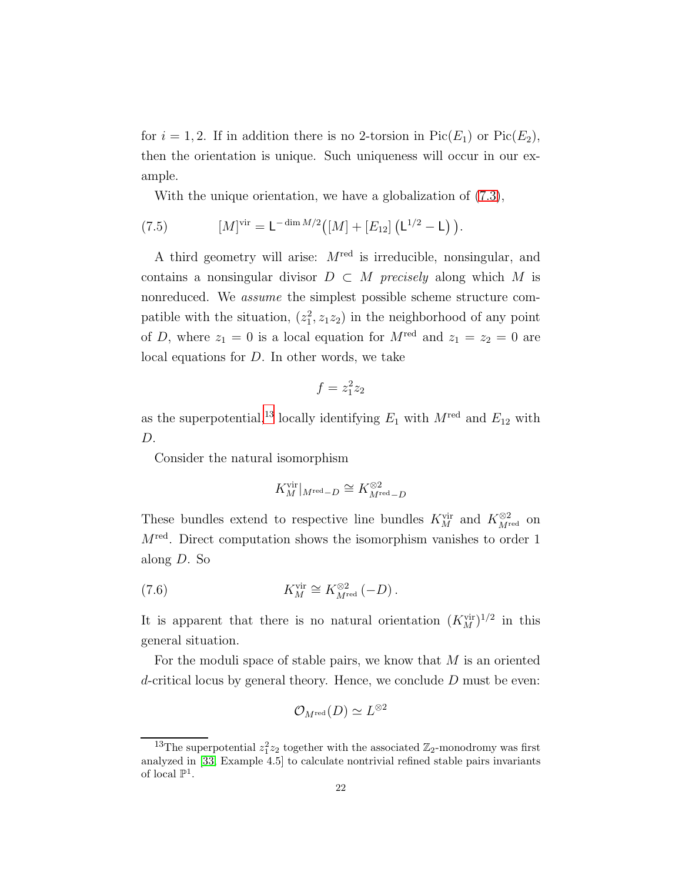for  $i = 1, 2$ . If in addition there is no 2-torsion in Pic( $E_1$ ) or Pic( $E_2$ ), then the orientation is unique. Such uniqueness will occur in our example.

<span id="page-21-1"></span>With the unique orientation, we have a globalization of [\(7.3\)](#page-19-0),

(7.5) 
$$
[M]^{vir} = L^{-\dim M/2} \big( [M] + [E_{12}] \left( L^{1/2} - L \right) \big).
$$

A third geometry will arise:  $M^{\text{red}}$  is irreducible, nonsingular, and contains a nonsingular divisor  $D \subset M$  precisely along which M is nonreduced. We assume the simplest possible scheme structure compatible with the situation,  $(z_1^2, z_1 z_2)$  in the neighborhood of any point of D, where  $z_1 = 0$  is a local equation for  $M^{\text{red}}$  and  $z_1 = z_2 = 0$  are local equations for D. In other words, we take

$$
f=z_1^2z_2
$$

as the superpotential,<sup>[13](#page-21-0)</sup> locally identifying  $E_1$  with  $M^{\text{red}}$  and  $E_{12}$  with D.

Consider the natural isomorphism

$$
K_M^{\mathrm{vir}}|_{M^{\mathrm{red}}-D}\cong K_{M^{\mathrm{red}}-D}^{\otimes 2}
$$

These bundles extend to respective line bundles  $K_M^{\text{vir}}$  and  $K_{M^{\text{red}}}^{\otimes 2}$  on  $M^{\text{red}}$ . Direct computation shows the isomorphism vanishes to order 1 along D. So

(7.6) 
$$
K_M^{\text{vir}} \cong K_{M^{\text{red}}}^{\otimes 2} (-D) .
$$

It is apparent that there is no natural orientation  $(K_M^{\text{vir}})^{1/2}$  in this general situation.

For the moduli space of stable pairs, we know that  $M$  is an oriented d-critical locus by general theory. Hence, we conclude  $D$  must be even:

$$
\mathcal{O}_{M^{\rm red}}(D) \simeq L^{\otimes 2}
$$

<span id="page-21-0"></span><sup>&</sup>lt;sup>13</sup>The superpotential  $z_1^2 z_2$  together with the associated  $\mathbb{Z}_2$ -monodromy was first analyzed in [\[33,](#page-46-2) Example 4.5] to calculate nontrivial refined stable pairs invariants of local  $\mathbb{P}^1$ .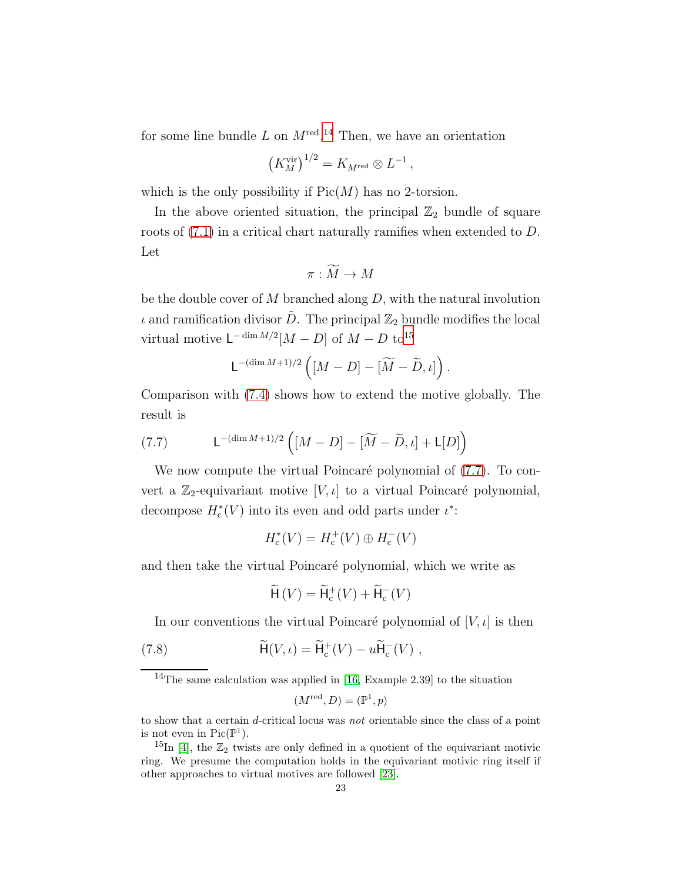for some line bundle  $L$  on  $M^{\text{red}}$ .<sup>[14](#page-22-0)</sup> Then, we have an orientation

$$
\left(K_M^{\text{vir}}\right)^{1/2} = K_{M^{\text{red}}} \otimes L^{-1},
$$

which is the only possibility if  $Pic(M)$  has no 2-torsion.

In the above oriented situation, the principal  $\mathbb{Z}_2$  bundle of square roots of [\(7.1\)](#page-17-2) in a critical chart naturally ramifies when extended to D. Let

$$
\pi : \widetilde{M} \to M
$$

be the double cover of  $M$  branched along  $D$ , with the natural involution  $\iota$  and ramification divisor  $\tilde{D}$ . The principal  $\mathbb{Z}_2$  bundle modifies the local virtual motive  $\mathsf{L}^{-\dim M/2}[M-D]$  of  $M-D$  to<sup>[15](#page-22-1)</sup>

$$
\mathsf{L}^{-(\dim M+1)/2}\left([M-D]-[\widetilde{M}-\widetilde{D},\iota]\right).
$$

Comparison with [\(7.4\)](#page-19-1) shows how to extend the motive globally. The result is

<span id="page-22-2"></span>(7.7) 
$$
\mathsf{L}^{-(\dim M + 1)/2} \left( [M - D] - [\widetilde{M} - \widetilde{D}, \iota] + \mathsf{L}[D] \right)
$$

We now compute the virtual Poincaré polynomial of  $(7.7)$ . To convert a  $\mathbb{Z}_2$ -equivariant motive [V,  $\iota$ ] to a virtual Poincaré polynomial, decompose  $H_c^*(V)$  into its even and odd parts under  $\iota^*$ :

$$
H_{\rm c}^*(V) = H_{\rm c}^+(V) \oplus H_{\rm c}^-(V)
$$

and then take the virtual Poincaré polynomial, which we write as

<span id="page-22-3"></span>
$$
\widetilde{\mathsf{H}}\left(V\right) = \widetilde{\mathsf{H}}_{\mathrm{c}}^+(V) + \widetilde{\mathsf{H}}_{\mathrm{c}}^-(V)
$$

In our conventions the virtual Poincaré polynomial of  $[V, \iota]$  is then

(7.8) 
$$
\widetilde{H}(V,\iota) = \widetilde{H}_c^+(V) - u\widetilde{H}_c^-(V) ,
$$

<span id="page-22-0"></span><sup>14</sup>The same calculation was applied in [\[16,](#page-45-18) Example 2.39] to the situation

$$
(M^{\text{red}}, D) = (\mathbb{P}^1, p)
$$

to show that a certain d-critical locus was not orientable since the class of a point is not even in  $Pic(\mathbb{P}^1)$ .

<span id="page-22-1"></span><sup>&</sup>lt;sup>15</sup>In [\[4\]](#page-44-2), the  $\mathbb{Z}_2$  twists are only defined in a quotient of the equivariant motivic ring. We presume the computation holds in the equivariant motivic ring itself if other approaches to virtual motives are followed [\[23\]](#page-45-9).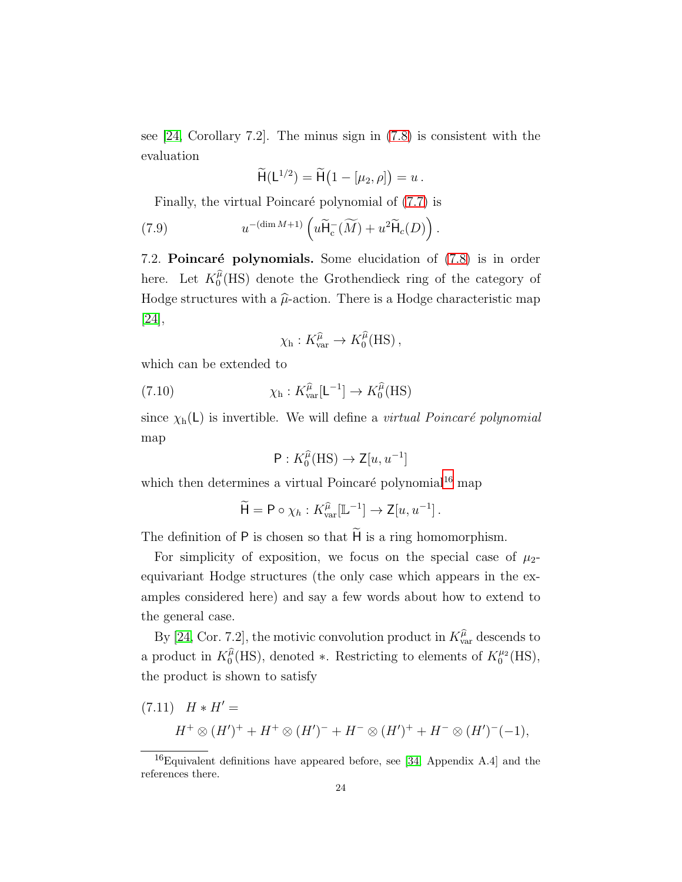see [\[24,](#page-45-8) Corollary 7.2]. The minus sign in [\(7.8\)](#page-22-3) is consistent with the evaluation

<span id="page-23-2"></span>
$$
\widetilde{\mathsf{H}}(\mathsf{L}^{1/2}) = \widetilde{\mathsf{H}}(1 - [\mu_2, \rho]) = u.
$$

Finally, the virtual Poincaré polynomial of  $(7.7)$  is

(7.9) 
$$
u^{-(\dim M+1)}\left(u\widetilde{H}_c^-(\widetilde{M})+u^2\widetilde{H}_c(D)\right).
$$

7.2. Poincaré polynomials. Some elucidation of  $(7.8)$  is in order here. Let  $K_0^{\hat{\mu}}$  $0<sup>\mu</sup>(\text{HS})$  denote the Grothendieck ring of the category of Hodge structures with a  $\hat{\mu}$ -action. There is a Hodge characteristic map [\[24\]](#page-45-8),

$$
\chi_{\rm h}: K^{\widehat{\mu}}_{\rm var} \to K_0^{\widehat{\mu}}(\rm HS)\,,
$$

which can be extended to

(7.10) 
$$
\chi_{\rm h}: K_{\rm var}^{\widehat{\mu}}[{\mathsf L}^{-1}] \to K_0^{\widehat{\mu}}(\rm HS)
$$

since  $\chi_h(L)$  is invertible. We will define a *virtual Poincaré polynomial* map

$$
\mathsf{P}: K_0^{\widehat{\mu}}(\mathrm{HS}) \to \mathsf{Z}[u, u^{-1}]
$$

which then determines a virtual Poincaré polynomial<sup>[16](#page-23-0)</sup> map

$$
\widetilde{\mathsf{H}} = \mathsf{P} \circ \chi_h : K_{\text{var}}^{\widehat{\mu}}[\mathbb{L}^{-1}] \to \mathsf{Z}[u, u^{-1}].
$$

The definition of  $P$  is chosen so that  $\widetilde{H}$  is a ring homomorphism.

For simplicity of exposition, we focus on the special case of  $\mu_2$ equivariant Hodge structures (the only case which appears in the examples considered here) and say a few words about how to extend to the general case.

By [\[24,](#page-45-8) Cor. 7.2], the motivic convolution product in  $K_{\text{var}}^{\hat{\mu}}$  descends to a product in  $K_0^{\hat{\mu}}$  $\hat{\theta}_0^{\hat{\mu}}(HS)$ , denoted \*. Restricting to elements of  $K_0^{\mu_2}(\text{HS})$ , the product is shown to satisfy

<span id="page-23-1"></span>(7.11) 
$$
H * H' =
$$
  
\n $H^+ \otimes (H')^+ + H^+ \otimes (H')^- + H^- \otimes (H')^+ + H^- \otimes (H')^-(-1),$ 

<span id="page-23-0"></span><sup>16</sup>Equivalent definitions have appeared before, see [\[34,](#page-46-3) Appendix A.4] and the references there.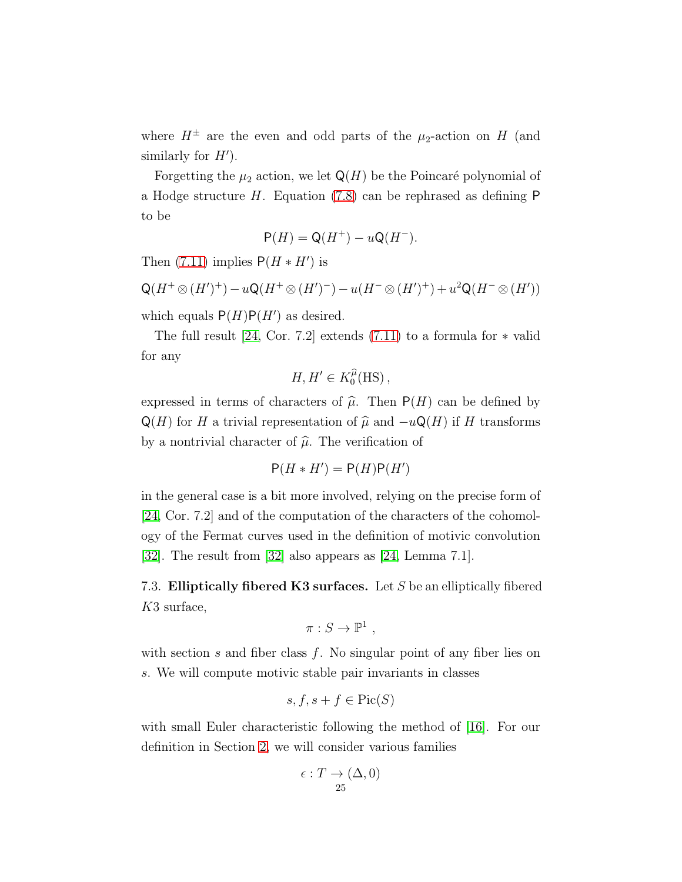where  $H^{\pm}$  are the even and odd parts of the  $\mu_2$ -action on H (and similarly for  $H'$ ).

Forgetting the  $\mu_2$  action, we let  $\mathsf{Q}(H)$  be the Poincaré polynomial of a Hodge structure H. Equation [\(7.8\)](#page-22-3) can be rephrased as defining P to be

$$
P(H) = Q(H^+) - uQ(H^-).
$$

Then  $(7.11)$  implies  $P(H * H')$  is

$$
Q(H^+\otimes (H')^+) - uQ(H^+\otimes (H')^-) - u(H^-\otimes (H')^+) + u^2Q(H^-\otimes (H'))
$$

which equals  $P(H)P(H')$  as desired.

The full result  $[24, \text{Cor. } 7.2]$  extends  $(7.11)$  to a formula for  $*$  valid for any

$$
H,H'\in K_0^{\widehat\mu}(\mathrm{HS})\,,
$$

expressed in terms of characters of  $\hat{\mu}$ . Then P(H) can be defined by  $Q(H)$  for H a trivial representation of  $\hat{\mu}$  and  $-uQ(H)$  if H transforms by a nontrivial character of  $\hat{\mu}$ . The verification of

$$
P(H * H') = P(H)P(H')
$$

in the general case is a bit more involved, relying on the precise form of [\[24,](#page-45-8) Cor. 7.2] and of the computation of the characters of the cohomology of the Fermat curves used in the definition of motivic convolution [\[32\]](#page-46-4). The result from [\[32\]](#page-46-4) also appears as [\[24,](#page-45-8) Lemma 7.1].

7.3. Elliptically fibered K3 surfaces. Let  $S$  be an elliptically fibered K3 surface,

$$
\pi: S \to \mathbb{P}^1 ,
$$

with section s and fiber class  $f$ . No singular point of any fiber lies on s. We will compute motivic stable pair invariants in classes

$$
s, f, s + f \in \text{Pic}(S)
$$

with small Euler characteristic following the method of [\[16\]](#page-45-18). For our definition in Section [2,](#page-4-0) we will consider various families

$$
\epsilon: T \to (\Delta, 0)
$$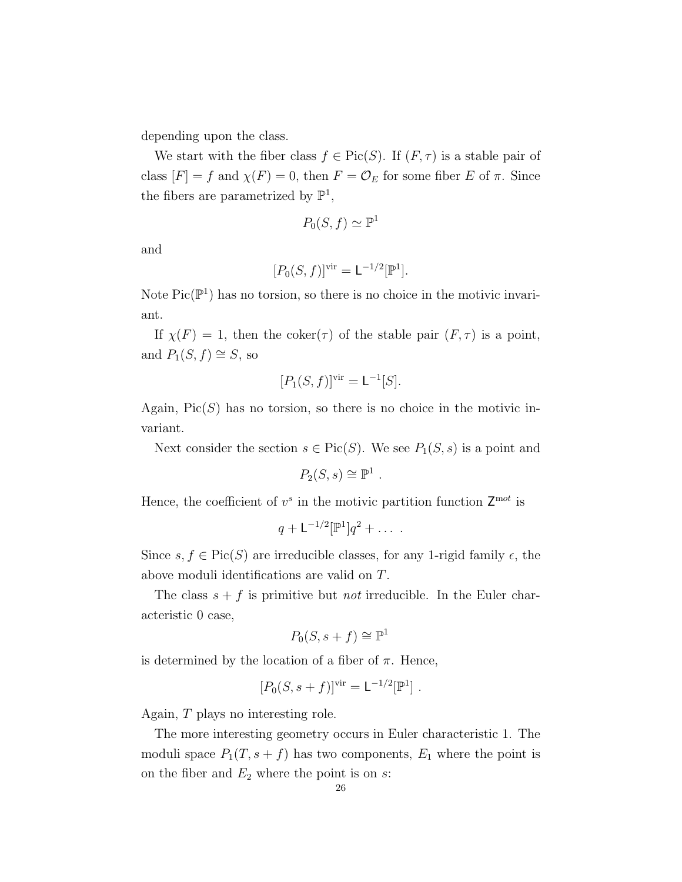depending upon the class.

We start with the fiber class  $f \in Pic(S)$ . If  $(F, \tau)$  is a stable pair of class  $[F] = f$  and  $\chi(F) = 0$ , then  $F = \mathcal{O}_E$  for some fiber E of  $\pi$ . Since the fibers are parametrized by  $\mathbb{P}^1$ ,

$$
P_0(S, f) \simeq \mathbb{P}^1
$$

and

$$
[P_0(S,f)]^{\text{vir}} = \mathsf{L}^{-1/2}[\mathbb{P}^1].
$$

Note  $Pic(\mathbb{P}^1)$  has no torsion, so there is no choice in the motivic invariant.

If  $\chi(F) = 1$ , then the coker( $\tau$ ) of the stable pair  $(F, \tau)$  is a point, and  $P_1(S, f) \cong S$ , so

$$
[P_1(S,f)]^{\text{vir}} = \mathsf{L}^{-1}[S].
$$

Again,  $Pic(S)$  has no torsion, so there is no choice in the motivic invariant.

Next consider the section  $s \in Pic(S)$ . We see  $P_1(S, s)$  is a point and

$$
P_2(S,s) \cong \mathbb{P}^1.
$$

Hence, the coefficient of  $v^s$  in the motivic partition function  $\mathsf{Z}^{\text{mot}}$  is

$$
q+\mathsf{L}^{-1/2}[\mathbb{P}^1]q^2+\ldots\ .
$$

Since  $s, f \in Pic(S)$  are irreducible classes, for any 1-rigid family  $\epsilon$ , the above moduli identifications are valid on T.

The class  $s + f$  is primitive but *not* irreducible. In the Euler characteristic 0 case,

$$
P_0(S, s+f) \cong \mathbb{P}^1
$$

is determined by the location of a fiber of  $\pi$ . Hence,

$$
[P_0(S, s+f)]vir = \mathsf{L}^{-1/2}[\mathbb{P}^1].
$$

Again, T plays no interesting role.

The more interesting geometry occurs in Euler characteristic 1. The moduli space  $P_1(T, s + f)$  has two components,  $E_1$  where the point is on the fiber and  $E_2$  where the point is on  $s$ :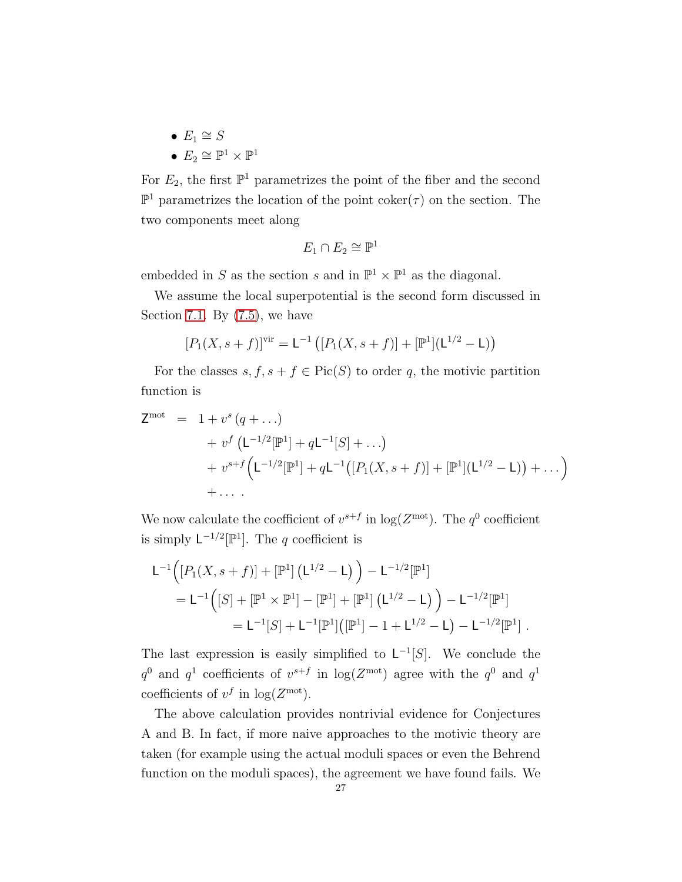- $E_1 \cong S$
- $E_2 \cong \mathbb{P}^1 \times \mathbb{P}^1$

For  $E_2$ , the first  $\mathbb{P}^1$  parametrizes the point of the fiber and the second  $\mathbb{P}^1$  parametrizes the location of the point coker( $\tau$ ) on the section. The two components meet along

$$
E_1 \cap E_2 \cong \mathbb{P}^1
$$

embedded in S as the section s and in  $\mathbb{P}^1 \times \mathbb{P}^1$  as the diagonal.

We assume the local superpotential is the second form discussed in Section [7.1.](#page-17-1) By  $(7.5)$ , we have

$$
[P_1(X, s+f)]^{vir} = L^{-1} ([P_1(X, s+f)] + [\mathbb{P}^1](L^{1/2} - L))
$$

For the classes  $s, f, s + f \in Pic(S)$  to order q, the motivic partition function is

$$
Z^{\text{mot}} = 1 + v^{s} (q + ...)
$$
  
+  $v^{f} (L^{-1/2}[\mathbb{P}^{1}] + qL^{-1}[S] + ...)$   
+  $v^{s+f} (L^{-1/2}[\mathbb{P}^{1}] + qL^{-1}([P_{1}(X, s + f)] + [\mathbb{P}^{1}](L^{1/2} - L)) + ... )$   
+ ...

We now calculate the coefficient of  $v^{s+f}$  in  $\log(Z^{\text{mot}})$ . The  $q^0$  coefficient is simply  $\mathsf{L}^{-1/2}[\mathbb{P}^1]$ . The q coefficient is

$$
L^{-1}([P_1(X, s+f)] + [\mathbb{P}^1] (L^{1/2} - L)) - L^{-1/2}[\mathbb{P}^1]
$$
  
= 
$$
L^{-1}([S] + [\mathbb{P}^1 \times \mathbb{P}^1] - [\mathbb{P}^1] + [\mathbb{P}^1] (L^{1/2} - L)) - L^{-1/2}[\mathbb{P}^1]
$$
  
= 
$$
L^{-1}[S] + L^{-1}[\mathbb{P}^1] ([\mathbb{P}^1] - 1 + L^{1/2} - L) - L^{-1/2}[\mathbb{P}^1].
$$

The last expression is easily simplified to  $\mathsf{L}^{-1}[S]$ . We conclude the  $q^0$  and  $q^1$  coefficients of  $v^{s+f}$  in  $\log(Z^{\text{mot}})$  agree with the  $q^0$  and  $q^1$ coefficients of  $v^f$  in  $\log(Z^{\text{mot}})$ .

The above calculation provides nontrivial evidence for Conjectures A and B. In fact, if more naive approaches to the motivic theory are taken (for example using the actual moduli spaces or even the Behrend function on the moduli spaces), the agreement we have found fails. We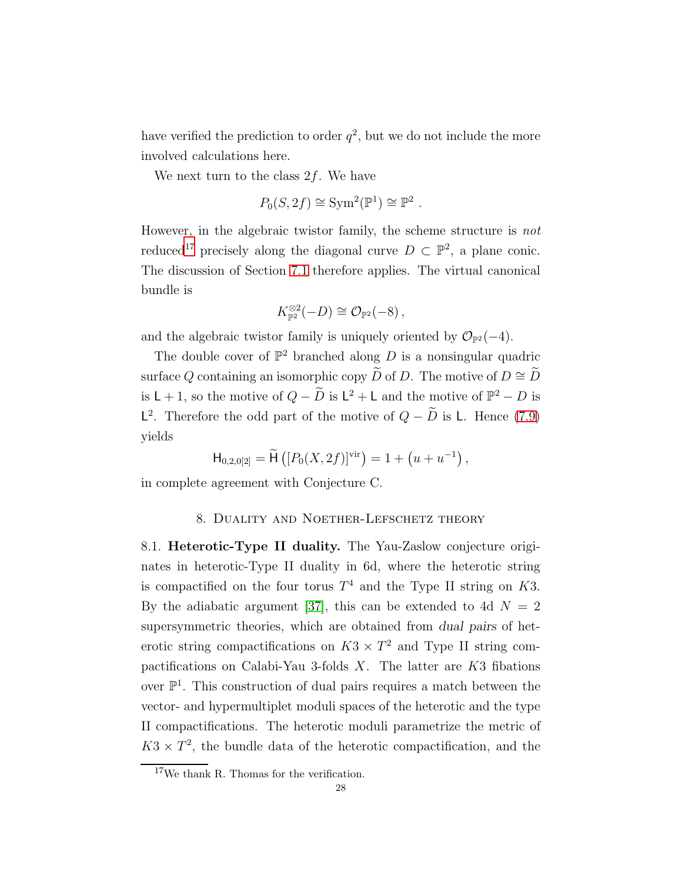have verified the prediction to order  $q^2$ , but we do not include the more involved calculations here.

We next turn to the class  $2f$ . We have

$$
P_0(S, 2f) \cong \text{Sym}^2(\mathbb{P}^1) \cong \mathbb{P}^2
$$

.

However, in the algebraic twistor family, the scheme structure is not reduced<sup>[17](#page-27-1)</sup> precisely along the diagonal curve  $D \subset \mathbb{P}^2$ , a plane conic. The discussion of Section [7.1](#page-17-1) therefore applies. The virtual canonical bundle is

$$
K_{\mathbb{P}^2}^{\otimes 2}(-D) \cong \mathcal{O}_{\mathbb{P}^2}(-8),
$$

and the algebraic twistor family is uniquely oriented by  $\mathcal{O}_{\mathbb{P}^2}(-4)$ .

The double cover of  $\mathbb{P}^2$  branched along D is a nonsingular quadric surface Q containing an isomorphic copy  $\widetilde{D}$  of D. The motive of  $D \cong \widetilde{D}$ is  $L + 1$ , so the motive of  $Q - D$  is  $L^2 + L$  and the motive of  $\mathbb{P}^2 - D$  is  $\mathsf{L}^2$ . Therefore the odd part of the motive of  $Q - D$  is  $\mathsf{L}$ . Hence [\(7.9\)](#page-23-2) yields

$$
\mathsf{H}_{0,2,0[2]} = \widetilde{\mathsf{H}}\left( [P_0(X, 2f)]^{\mathrm{vir}} \right) = 1 + \left( u + u^{-1} \right),
$$

<span id="page-27-0"></span>in complete agreement with Conjecture C.

#### 8. Duality and Noether-Lefschetz theory

8.1. Heterotic-Type II duality. The Yau-Zaslow conjecture originates in heterotic-Type II duality in 6d, where the heterotic string is compactified on the four torus  $T^4$  and the Type II string on K3. By the adiabatic argument [\[37\]](#page-46-5), this can be extended to 4d  $N = 2$ supersymmetric theories, which are obtained from dual pairs of heterotic string compactifications on  $K3 \times T^2$  and Type II string compactifications on Calabi-Yau 3-folds  $X$ . The latter are  $K3$  fibations over  $\mathbb{P}^1$ . This construction of dual pairs requires a match between the vector- and hypermultiplet moduli spaces of the heterotic and the type II compactifications. The heterotic moduli parametrize the metric of  $K3 \times T^2$ , the bundle data of the heterotic compactification, and the

<span id="page-27-1"></span> $17$ We thank R. Thomas for the verification.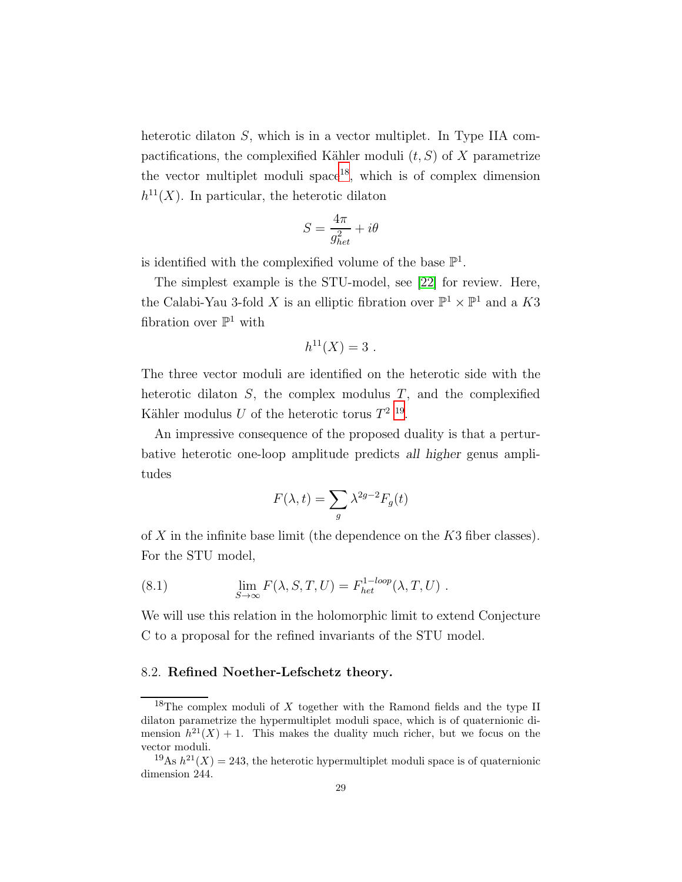heterotic dilaton S, which is in a vector multiplet. In Type IIA compactifications, the complexified Kähler moduli  $(t, S)$  of X parametrize the vector multiplet moduli  $space^{18}$  $space^{18}$  $space^{18}$ , which is of complex dimension  $h^{11}(X)$ . In particular, the heterotic dilaton

$$
S = \frac{4\pi}{g_{het}^2} + i\theta
$$

is identified with the complexified volume of the base  $\mathbb{P}^1$ .

The simplest example is the STU-model, see [\[22\]](#page-45-20) for review. Here, the Calabi-Yau 3-fold X is an elliptic fibration over  $\mathbb{P}^1 \times \mathbb{P}^1$  and a K3 fibration over  $\mathbb{P}^1$  with

$$
h^{11}(X) = 3.
$$

The three vector moduli are identified on the heterotic side with the heterotic dilaton  $S$ , the complex modulus  $T$ , and the complexified Kähler modulus U of the heterotic torus  $T^{2}$  <sup>[19](#page-28-1)</sup>.

An impressive consequence of the proposed duality is that a perturbative heterotic one-loop amplitude predicts all higher genus amplitudes

$$
F(\lambda, t) = \sum_{g} \lambda^{2g-2} F_g(t)
$$

of X in the infinite base limit (the dependence on the K3 fiber classes). For the STU model,

(8.1) 
$$
\lim_{S \to \infty} F(\lambda, S, T, U) = F_{het}^{1-loop}(\lambda, T, U) .
$$

We will use this relation in the holomorphic limit to extend Conjecture C to a proposal for the refined invariants of the STU model.

### 8.2. Refined Noether-Lefschetz theory.

<span id="page-28-0"></span><sup>&</sup>lt;sup>18</sup>The complex moduli of X together with the Ramond fields and the type II dilaton parametrize the hypermultiplet moduli space, which is of quaternionic dimension  $h^{21}(X) + 1$ . This makes the duality much richer, but we focus on the vector moduli.

<span id="page-28-1"></span><sup>&</sup>lt;sup>19</sup>As  $h^{21}(X) = 243$ , the heterotic hypermultiplet moduli space is of quaternionic dimension 244.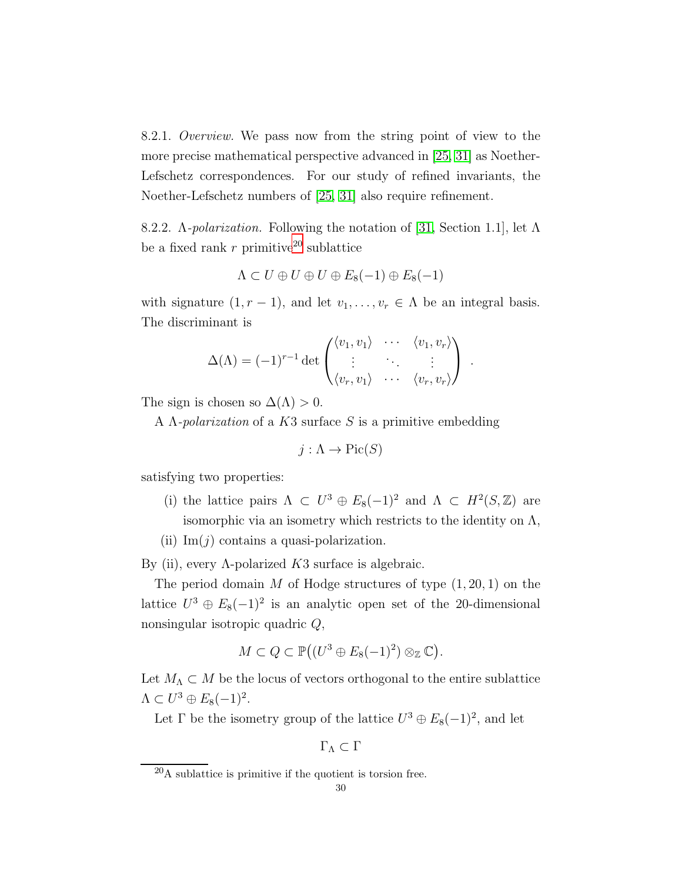8.2.1. Overview. We pass now from the string point of view to the more precise mathematical perspective advanced in [\[25,](#page-45-4) [31\]](#page-45-2) as Noether-Lefschetz correspondences. For our study of refined invariants, the Noether-Lefschetz numbers of [\[25,](#page-45-4) [31\]](#page-45-2) also require refinement.

8.2.2. Λ-polarization. Following the notation of [\[31,](#page-45-2) Section 1.1], let Λ be a fixed rank  $r$  primitive<sup>[20](#page-29-0)</sup> sublattice

$$
\Lambda \subset U \oplus U \oplus U \oplus E_8(-1) \oplus E_8(-1)
$$

with signature  $(1, r - 1)$ , and let  $v_1, \ldots, v_r \in \Lambda$  be an integral basis. The discriminant is

$$
\Delta(\Lambda) = (-1)^{r-1} \det \begin{pmatrix} \langle v_1, v_1 \rangle & \cdots & \langle v_1, v_r \rangle \\ \vdots & \ddots & \vdots \\ \langle v_r, v_1 \rangle & \cdots & \langle v_r, v_r \rangle \end{pmatrix}.
$$

The sign is chosen so  $\Delta(\Lambda) > 0$ .

A  $\Lambda$ -polarization of a K3 surface S is a primitive embedding

$$
j: \Lambda \to \text{Pic}(S)
$$

satisfying two properties:

- (i) the lattice pairs  $\Lambda \subset U^3 \oplus E_8(-1)^2$  and  $\Lambda \subset H^2(S, \mathbb{Z})$  are isomorphic via an isometry which restricts to the identity on  $\Lambda$ ,
- (ii)  $\text{Im}(j)$  contains a quasi-polarization.

By (ii), every Λ-polarized  $K3$  surface is algebraic.

The period domain M of Hodge structures of type  $(1, 20, 1)$  on the lattice  $U^3 \oplus E_8(-1)^2$  is an analytic open set of the 20-dimensional nonsingular isotropic quadric Q,

$$
M \subset Q \subset \mathbb{P}((U^3 \oplus E_8(-1)^2) \otimes_{\mathbb{Z}} \mathbb{C}).
$$

Let  $M_{\Lambda} \subset M$  be the locus of vectors orthogonal to the entire sublattice  $\Lambda \subset U^3 \oplus E_8(-1)^2$ .

Let  $\Gamma$  be the isometry group of the lattice  $U^3 \oplus E_8(-1)^2$ , and let

 $\Gamma_{\Lambda} \subset \Gamma$ 

<span id="page-29-0"></span> $^{20}$ A sublattice is primitive if the quotient is torsion free.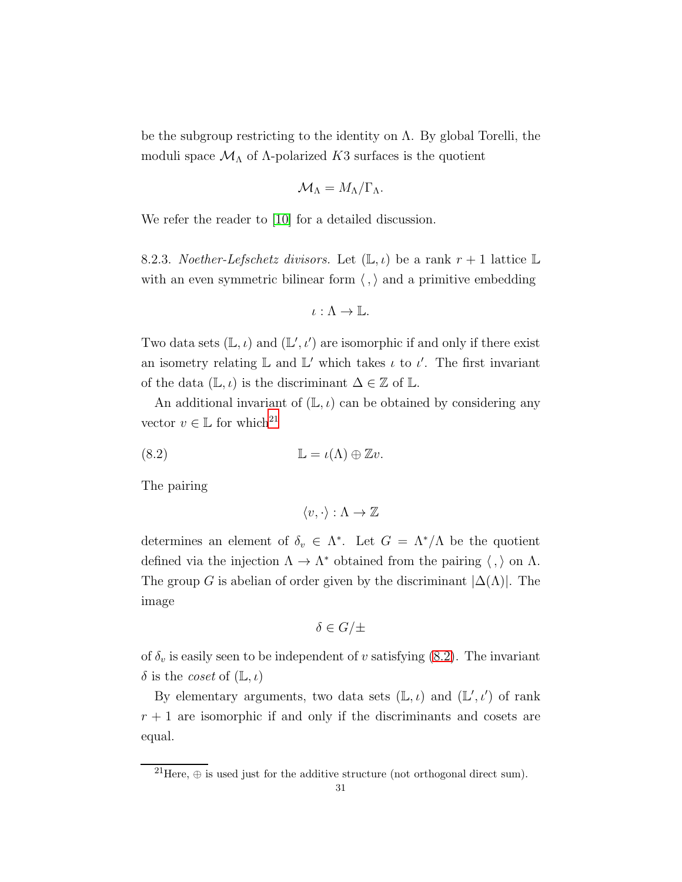be the subgroup restricting to the identity on  $\Lambda$ . By global Torelli, the moduli space  $\mathcal{M}_{\Lambda}$  of  $\Lambda$ -polarized K3 surfaces is the quotient

$$
\mathcal{M}_{\Lambda}=M_{\Lambda}/\Gamma_{\Lambda}.
$$

We refer the reader to [\[10\]](#page-45-21) for a detailed discussion.

8.2.3. Noether-Lefschetz divisors. Let  $(\mathbb{L}, \iota)$  be a rank  $r + 1$  lattice  $\mathbb{L}$ with an even symmetric bilinear form  $\langle , \rangle$  and a primitive embedding

$$
\iota: \Lambda \to \mathbb{L}.
$$

Two data sets  $(\mathbb{L}, \iota)$  and  $(\mathbb{L}', \iota')$  are isomorphic if and only if there exist an isometry relating  $\mathbb L$  and  $\mathbb L'$  which takes  $\iota$  to  $\iota'$ . The first invariant of the data  $(\mathbb{L}, \iota)$  is the discriminant  $\Delta \in \mathbb{Z}$  of  $\mathbb{L}$ .

An additional invariant of  $(L, \iota)$  can be obtained by considering any vector  $v \in \mathbb{L}$  for which<sup>[21](#page-30-0)</sup>

(8.2) L = ι(Λ) ⊕ Zv.

The pairing

<span id="page-30-1"></span>
$$
\langle v, \cdot \rangle : \Lambda \to \mathbb{Z}
$$

determines an element of  $\delta_v \in \Lambda^*$ . Let  $G = \Lambda^*/\Lambda$  be the quotient defined via the injection  $\Lambda \to \Lambda^*$  obtained from the pairing  $\langle , \rangle$  on  $\Lambda$ . The group G is abelian of order given by the discriminant  $|\Delta(\Lambda)|$ . The image

$$
\delta \in G/\pm
$$

of  $\delta_v$  is easily seen to be independent of v satisfying [\(8.2\)](#page-30-1). The invariant  $\delta$  is the *coset* of  $(L, \iota)$ 

By elementary arguments, two data sets  $(\mathbb{L}, \iota)$  and  $(\mathbb{L}', \iota')$  of rank  $r + 1$  are isomorphic if and only if the discriminants and cosets are equal.

<span id="page-30-0"></span><sup>&</sup>lt;sup>21</sup>Here,  $\oplus$  is used just for the additive structure (not orthogonal direct sum).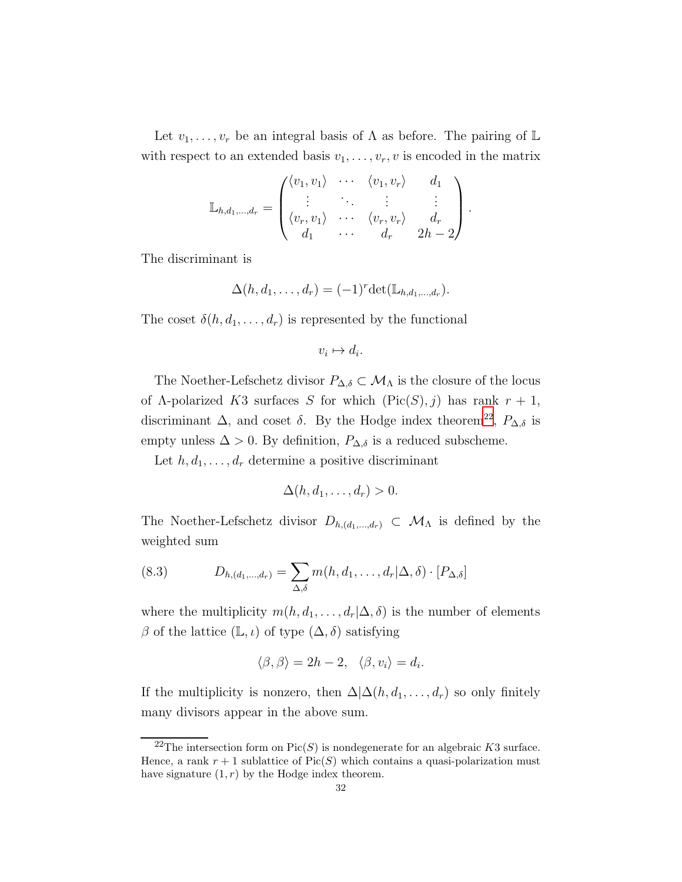Let  $v_1, \ldots, v_r$  be an integral basis of  $\Lambda$  as before. The pairing of  $\mathbb L$ with respect to an extended basis  $v_1, \ldots, v_r, v$  is encoded in the matrix

$$
\mathbb{L}_{h,d_1,\ldots,d_r} = \begin{pmatrix} \langle v_1, v_1 \rangle & \cdots & \langle v_1, v_r \rangle & d_1 \\ \vdots & \ddots & \vdots & \vdots \\ \langle v_r, v_1 \rangle & \cdots & \langle v_r, v_r \rangle & d_r \\ d_1 & \cdots & d_r & 2h-2 \end{pmatrix}.
$$

The discriminant is

$$
\Delta(h, d_1, \ldots, d_r) = (-1)^r \det(\mathbb{L}_{h, d_1, \ldots, d_r}).
$$

The coset  $\delta(h, d_1, \ldots, d_r)$  is represented by the functional

$$
v_i \mapsto d_i.
$$

The Noether-Lefschetz divisor  $P_{\Delta,\delta} \subset \mathcal{M}_{\Lambda}$  is the closure of the locus of  $\Lambda$ -polarized K3 surfaces S for which  $(Pic(S), j)$  has rank  $r + 1$ , discriminant  $\Delta$ , and coset  $\delta$ . By the Hodge index theorem<sup>[22](#page-31-0)</sup>,  $P_{\Delta,\delta}$  is empty unless  $\Delta > 0$ . By definition,  $P_{\Delta,\delta}$  is a reduced subscheme.

Let  $h, d_1, \ldots, d_r$  determine a positive discriminant

$$
\Delta(h, d_1, \ldots, d_r) > 0.
$$

The Noether-Lefschetz divisor  $D_{h,(d_1,...,d_r)} \subset \mathcal{M}_{\Lambda}$  is defined by the weighted sum

<span id="page-31-1"></span>(8.3) 
$$
D_{h,(d_1,\ldots,d_r)} = \sum_{\Delta,\delta} m(h,d_1,\ldots,d_r | \Delta,\delta) \cdot [P_{\Delta,\delta}]
$$

where the multiplicity  $m(h, d_1, \ldots, d_r | \Delta, \delta)$  is the number of elements β of the lattice  $(\mathbb{L}, \iota)$  of type  $(\Delta, \delta)$  satisfying

$$
\langle \beta, \beta \rangle = 2h - 2, \quad \langle \beta, v_i \rangle = d_i.
$$

If the multiplicity is nonzero, then  $\Delta \Delta(h, d_1, \ldots, d_r)$  so only finitely many divisors appear in the above sum.

<span id="page-31-0"></span><sup>&</sup>lt;sup>22</sup>The intersection form on  $Pic(S)$  is nondegenerate for an algebraic K3 surface. Hence, a rank  $r + 1$  sublattice of Pic(S) which contains a quasi-polarization must have signature  $(1, r)$  by the Hodge index theorem.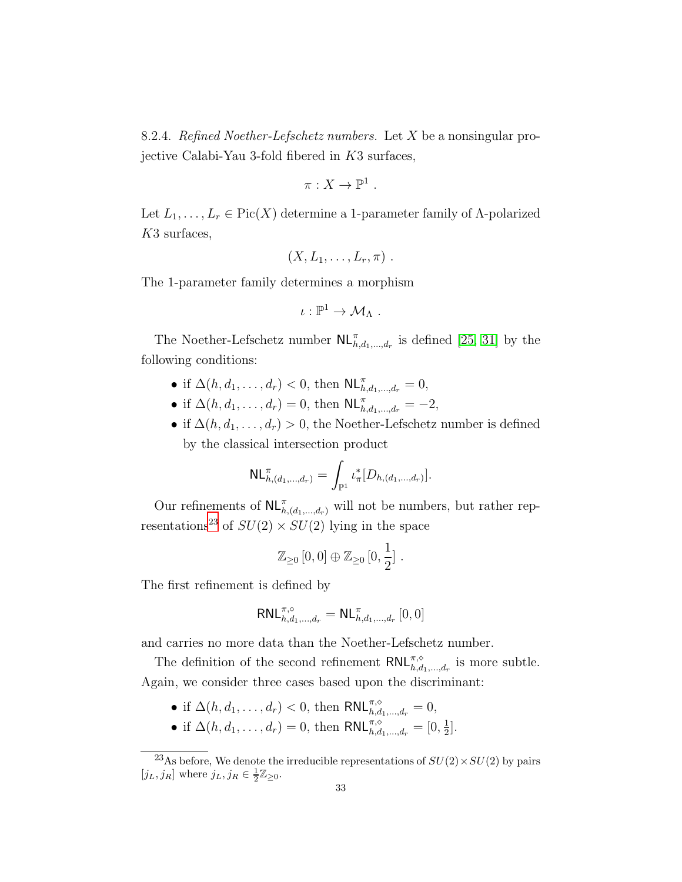8.2.4. Refined Noether-Lefschetz numbers. Let X be a nonsingular projective Calabi-Yau 3-fold fibered in K3 surfaces,

$$
\pi:X\to\mathbb{P}^1.
$$

Let  $L_1, \ldots, L_r \in Pic(X)$  determine a 1-parameter family of  $\Lambda$ -polarized K3 surfaces,

$$
(X, L_1, \ldots, L_r, \pi) .
$$

The 1-parameter family determines a morphism

$$
\iota:\mathbb{P}^1\to\mathcal{M}_{\Lambda}.
$$

The Noether-Lefschetz number  $\mathsf{NL}_{h,d_1,\dots,d_r}^{\pi}$  is defined [\[25,](#page-45-4) [31\]](#page-45-2) by the following conditions:

- if  $\Delta(h, d_1, ..., d_r) < 0$ , then  $\mathsf{NL}_{h, d_1, ..., d_r}^{\pi} = 0$ ,
- if  $\Delta(h, d_1, ..., d_r) = 0$ , then  $\mathsf{NL}^{\pi}_{h, d_1, ..., d_r} = -2$ ,
- if  $\Delta(h, d_1, \ldots, d_r) > 0$ , the Noether-Lefschetz number is defined by the classical intersection product

$$
\mathsf{NL}_{h,(d_1,\ldots,d_r)}^{\pi} = \int_{\mathbb{P}^1} \iota_{\pi}^*[D_{h,(d_1,\ldots,d_r)}].
$$

Our refinements of  $\mathsf{NL}_{h,(d_1,\ldots,d_r)}^{\pi}$  will not be numbers, but rather rep-resentations<sup>[23](#page-32-0)</sup> of  $SU(2) \times SU(2)$  lying in the space

$$
\mathbb{Z}_{\geq 0}\left[0,0\right] \oplus \mathbb{Z}_{\geq 0}\left[0,\frac{1}{2}\right].
$$

The first refinement is defined by

$$
\mathsf{RNL}_{h,d_1,\dots,d_r}^{\pi,\circ}=\mathsf{NL}_{h,d_1,\dots,d_r}^\pi\left[0,0\right]
$$

and carries no more data than the Noether-Lefschetz number.

The definition of the second refinement  $\mathsf{RNL}_{h,d_1,\dots,d_r}^{\pi,\diamond}$  is more subtle. Again, we consider three cases based upon the discriminant:

- if  $\Delta(h, d_1, \ldots, d_r) < 0$ , then  $\mathsf{RNL}_{h,d_1,\ldots,d_r}^{\pi, \diamond} = 0$ ,
- if  $\Delta(h, d_1, ..., d_r) = 0$ , then  $\text{RNL}_{h, d_1, ..., d_r}^{\pi, \diamond} = [0, \frac{1}{2}]$  $\frac{1}{2}$ .

<span id="page-32-0"></span><sup>&</sup>lt;sup>23</sup>As before, We denote the irreducible representations of  $SU(2) \times SU(2)$  by pairs  $[j_L, j_R]$  where  $j_L, j_R \in \frac{1}{2}\mathbb{Z}_{\geq 0}$ .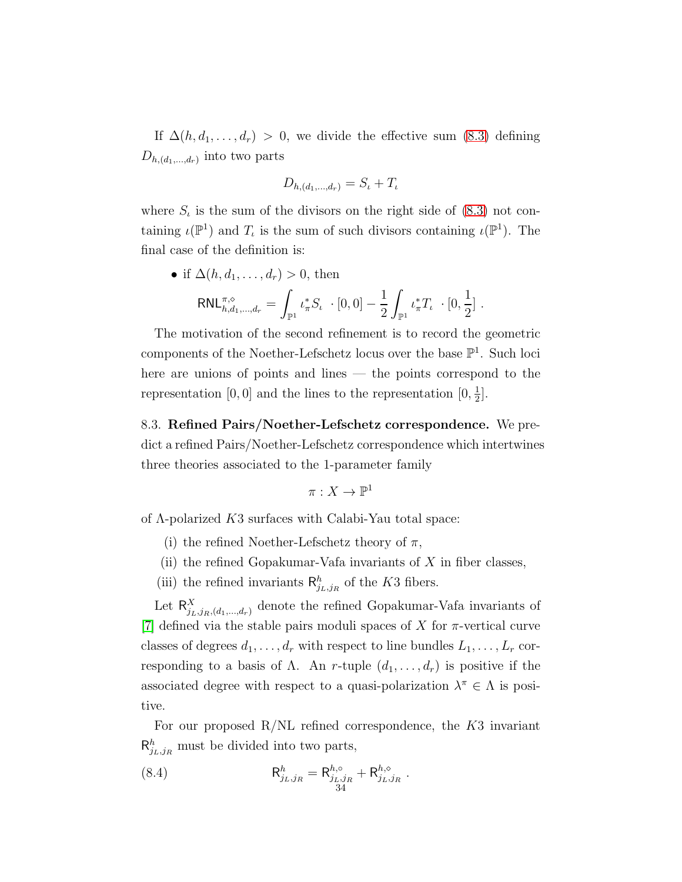If  $\Delta(h, d_1, \ldots, d_r) > 0$ , we divide the effective sum [\(8.3\)](#page-31-1) defining  $D_{h,(d_1,\ldots,d_r)}$  into two parts

$$
D_{h,(d_1,\ldots,d_r)} = S_{\iota} + T_{\iota}
$$

where  $S_t$  is the sum of the divisors on the right side of  $(8.3)$  not containing  $\iota(\mathbb{P}^1)$  and  $T_\iota$  is the sum of such divisors containing  $\iota(\mathbb{P}^1)$ . The final case of the definition is:

> 1 2  $]$  .

• if  $\Delta(h, d_1, \ldots, d_r) > 0$ , then  $RNL^{\pi,\diamond}_{h,d_1,\dots,d_r} =$ Z  $\mathbb{P}^1$  $\iota_{\pi}^* S_{\iota} \cdot [0,0] -$ 1 2 Z  $\mathbb{P}^1$  $\iota_{\pi}^*T_{\iota}\cdot[0,$ 

The motivation of the second refinement is to record the geometric components of the Noether-Lefschetz locus over the base  $\mathbb{P}^1$ . Such loci here are unions of points and lines — the points correspond to the representation [0, 0] and the lines to the representation  $[0, \frac{1}{2}]$  $\frac{1}{2}$ .

8.3. Refined Pairs/Noether-Lefschetz correspondence. We predict a refined Pairs/Noether-Lefschetz correspondence which intertwines three theories associated to the 1-parameter family

$$
\pi:X\to \mathbb{P}^1
$$

of Λ-polarized K3 surfaces with Calabi-Yau total space:

- (i) the refined Noether-Lefschetz theory of  $\pi$ ,
- (ii) the refined Gopakumar-Vafa invariants of  $X$  in fiber classes,
- (iii) the refined invariants  $\mathsf{R}^h_{j_L,j_R}$  of the K3 fibers.

Let  $\mathsf{R}^X_{j_L,j_R,(d_1,...,d_r)}$  denote the refined Gopakumar-Vafa invariants of [\[7\]](#page-44-3) defined via the stable pairs moduli spaces of X for  $\pi$ -vertical curve classes of degrees  $d_1, \ldots, d_r$  with respect to line bundles  $L_1, \ldots, L_r$  corresponding to a basis of  $\Lambda$ . An r-tuple  $(d_1, \ldots, d_r)$  is positive if the associated degree with respect to a quasi-polarization  $\lambda^{\pi} \in \Lambda$  is positive.

For our proposed  $R/NL$  refined correspondence, the  $K3$  invariant  $\mathsf{R}^h_{j_L,j_R}$  must be divided into two parts,

<span id="page-33-0"></span>(8.4) 
$$
\mathsf{R}^h_{j_L,j_R} = \mathsf{R}^{h,\circ}_{j_L,j_R} + \mathsf{R}^{h,\circ}_{j_L,j_R}.
$$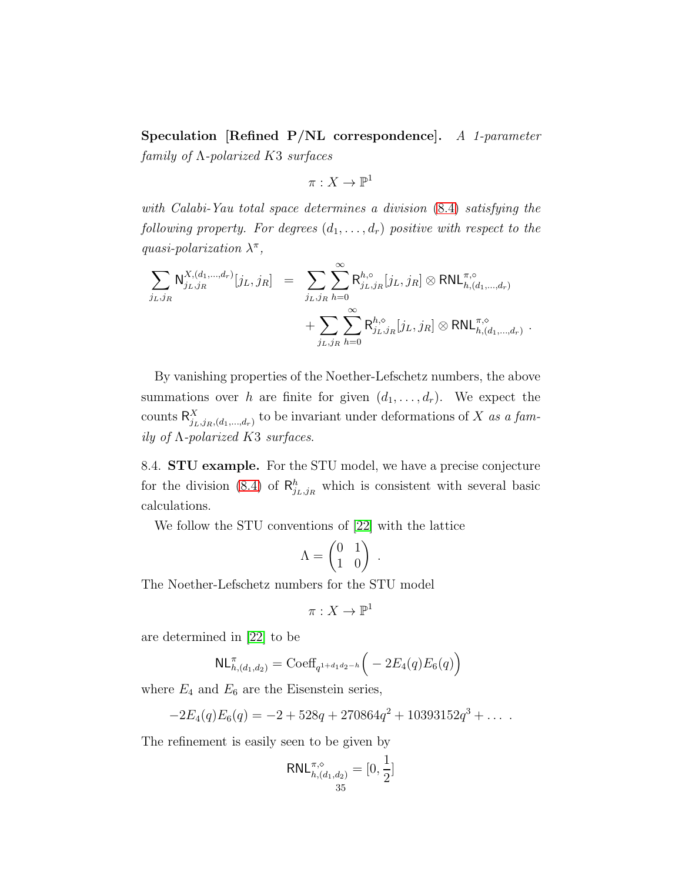Speculation [Refined P/NL correspondence]. A 1-parameter  $family of \Lambda$ -polarized K3 surfaces

$$
\pi: X \to \mathbb{P}^1
$$

with Calabi-Yau total space determines a division [\(8.4\)](#page-33-0) satisfying the following property. For degrees  $(d_1, \ldots, d_r)$  positive with respect to the quasi-polarization  $\lambda^{\pi}$ ,

$$
\sum_{j_L, j_R} \mathsf{N}^{X,(d_1,...,d_r)}_{j_L, j_R} [j_L, j_R] = \sum_{j_L, j_R} \sum_{h=0}^{\infty} \mathsf{R}^{h,\circ}_{j_L, j_R} [j_L, j_R] \otimes \mathsf{RNL}^{\pi,\circ}_{h,(d_1,...,d_r)} \n+ \sum_{j_L, j_R} \sum_{h=0}^{\infty} \mathsf{R}^{h,\circ}_{j_L, j_R} [j_L, j_R] \otimes \mathsf{RNL}^{\pi,\circ}_{h,(d_1,...,d_r)}.
$$

By vanishing properties of the Noether-Lefschetz numbers, the above summations over h are finite for given  $(d_1, \ldots, d_r)$ . We expect the counts  $\mathsf{R}_{j_L,j_R,(d_1,...,d_r)}^X$  to be invariant under deformations of X as a family of  $\Lambda$ -polarized K3 surfaces.

8.4. STU example. For the STU model, we have a precise conjecture for the division [\(8.4\)](#page-33-0) of  $\mathsf{R}^h_{j_L,j_R}$  which is consistent with several basic calculations.

We follow the STU conventions of [\[22\]](#page-45-20) with the lattice

$$
\Lambda = \begin{pmatrix} 0 & 1 \\ 1 & 0 \end{pmatrix}
$$

.

The Noether-Lefschetz numbers for the STU model

$$
\pi: X \to \mathbb{P}^1
$$

are determined in [\[22\]](#page-45-20) to be

$$
NL_{h,(d_1,d_2)}^{\pi} = \text{Coeff}_{q^{1+d_1d_2-h}} \left( -2E_4(q)E_6(q) \right)
$$

where  $E_4$  and  $E_6$  are the Eisenstein series,

$$
-2E_4(q)E_6(q) = -2 + 528q + 270864q^2 + 10393152q^3 + \dots
$$

The refinement is easily seen to be given by

$$
\mathsf{RNL}_{h,(d_1,d_2)}^{\pi,\diamond} = [0,\frac{1}{2}]
$$
  
<sub>35</sub>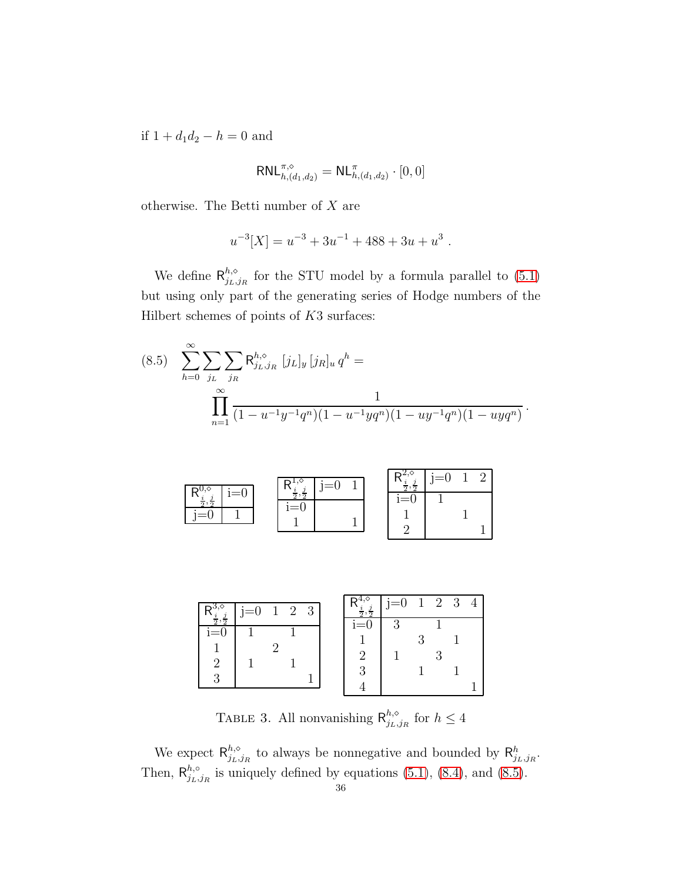if  $1 + d_1 d_2 - h = 0$  and

$$
{\sf RNL}_{h,(d_1,d_2)}^{\pi,\diamond}={\sf NL}_{h,(d_1,d_2)}^{\pi}\cdot[0,0]
$$

otherwise. The Betti number of  $X$  are

$$
u^{-3}[X] = u^{-3} + 3u^{-1} + 488 + 3u + u^{3}.
$$

We define  $\mathsf{R}_{i_l}^{h,\diamond}$  $j_{L,j_R}^{n,\diamond}$  for the STU model by a formula parallel to  $(5.1)$ but using only part of the generating series of Hodge numbers of the Hilbert schemes of points of  $K3$  surfaces:

<span id="page-35-0"></span>
$$
(8.5) \sum_{h=0}^{\infty} \sum_{j_L} \sum_{j_R} \mathsf{R}^{h,\diamond}_{j_L,j_R} [j_L]_y [j_R]_u q^h = \prod_{n=1}^{\infty} \frac{1}{(1 - u^{-1}y^{-1}q^n)(1 - u^{-1}yq^n)(1 - uy^{-1}q^n)(1 - uyq^n)}.
$$

|                  |                 | $=$<br>., |  | $=0$<br>., |  |
|------------------|-----------------|-----------|--|------------|--|
| $=0$<br>$\Omega$ | $\sigma$<br>$=$ |           |  |            |  |

|       | $j=0$ | $\overline{1}$ | $2 \quad 3$ |  | $\overline{2}$<br>$\overline{a}$ | $j=0$ 1 2 3 |  | $\overline{4}$ |
|-------|-------|----------------|-------------|--|----------------------------------|-------------|--|----------------|
| $i=0$ |       |                |             |  | $1=0$                            | ി           |  |                |
|       |       |                |             |  |                                  |             |  |                |

TABLE 3. All nonvanishing  $\mathsf{R}_{i}^{h,\diamond}$  $j_{L},j_{R}$  for  $h \leq 4$ 

We expect  $\mathsf{R}_{i_{L}}^{h,\diamond}$  $_{j_L,j_R}^{h,\diamond}$  to always be nonnegative and bounded by  $\mathsf{R}^h_{j_L,j_R}$ . Then,  $\mathsf{R}_{i_{L}}^{h,\circ}$  $j_{L,j_R}^{n,0}$  is uniquely defined by equations [\(5.1\)](#page-10-2), [\(8.4\)](#page-33-0), and [\(8.5\)](#page-35-0).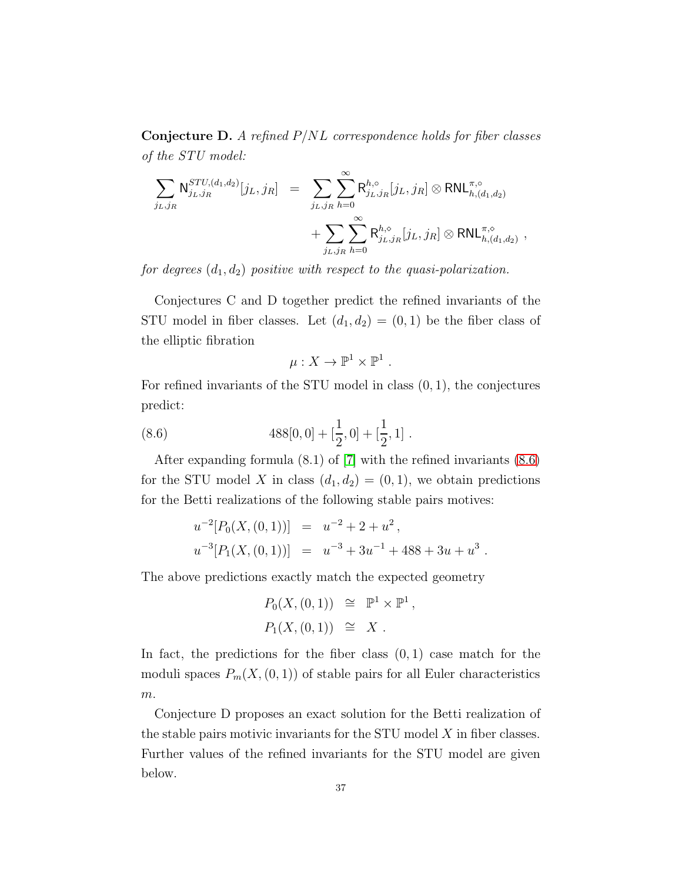**Conjecture D.** A refined  $P/NL$  correspondence holds for fiber classes of the STU model:

$$
\sum_{j_{L},j_{R}} N_{j_{L},j_{R}}^{STU,(d_1,d_2)}[j_{L},j_{R}] = \sum_{j_{L},j_{R}} \sum_{h=0}^{\infty} R_{j_{L},j_{R}}^{h,\circ}[j_{L},j_{R}] \otimes RNL_{h,(d_1,d_2)}^{\pi,\circ} + \sum_{j_{L},j_{R}} \sum_{h=0}^{\infty} R_{j_{L},j_{R}}^{h,\circ}[j_{L},j_{R}] \otimes RNL_{h,(d_1,d_2)}^{\pi,\circ} ,
$$

for degrees  $(d_1, d_2)$  positive with respect to the quasi-polarization.

Conjectures C and D together predict the refined invariants of the STU model in fiber classes. Let  $(d_1, d_2) = (0, 1)$  be the fiber class of the elliptic fibration

<span id="page-36-0"></span>
$$
\mu:X\to\mathbb{P}^1\times\mathbb{P}^1.
$$

For refined invariants of the STU model in class  $(0, 1)$ , the conjectures predict:

(8.6) 
$$
488[0,0] + [\frac{1}{2},0] + [\frac{1}{2},1].
$$

After expanding formula (8.1) of [\[7\]](#page-44-3) with the refined invariants [\(8.6\)](#page-36-0) for the STU model X in class  $(d_1, d_2) = (0, 1)$ , we obtain predictions for the Betti realizations of the following stable pairs motives:

$$
u^{-2}[P_0(X,(0,1))] = u^{-2} + 2 + u^2,
$$
  

$$
u^{-3}[P_1(X,(0,1))] = u^{-3} + 3u^{-1} + 488 + 3u + u^3.
$$

The above predictions exactly match the expected geometry

$$
P_0(X, (0,1)) \cong \mathbb{P}^1 \times \mathbb{P}^1,
$$
  

$$
P_1(X, (0,1)) \cong X.
$$

In fact, the predictions for the fiber class  $(0, 1)$  case match for the moduli spaces  $P_m(X,(0,1))$  of stable pairs for all Euler characteristics  $\boldsymbol{m}.$ 

Conjecture D proposes an exact solution for the Betti realization of the stable pairs motivic invariants for the STU model  $X$  in fiber classes. Further values of the refined invariants for the STU model are given below.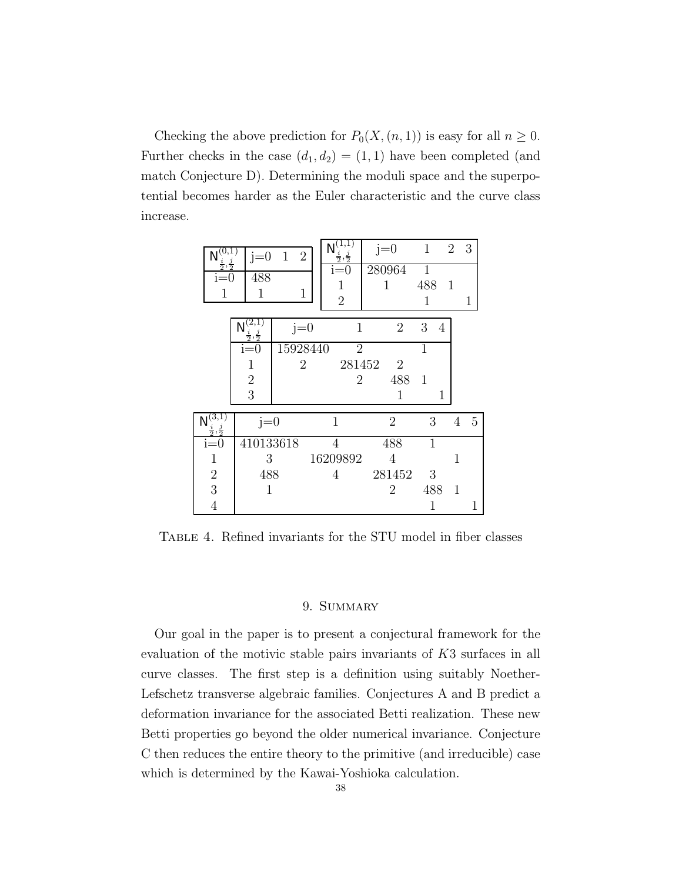Checking the above prediction for  $P_0(X,(n, 1))$  is easy for all  $n \geq 0$ . Further checks in the case  $(d_1, d_2) = (1, 1)$  have been completed (and match Conjecture D). Determining the moduli space and the superpotential becomes harder as the Euler characteristic and the curve class increase.

| $\frac{i}{2}, \frac{j}{2}$<br>$i=0$<br>1 | $j=0$<br>488<br>1          | $\overline{2}$<br>$\mathbf{1}$<br>1 | $\overline{1,1}$<br>$\frac{i}{2}, \frac{j}{2}$<br>$i=0$<br>1<br>$\overline{2}$ | $j=0$<br>280964 | 1<br>$\mathbf{1}$<br>488<br>1 | $\overline{2}$<br>1 | 3<br>1 |
|------------------------------------------|----------------------------|-------------------------------------|--------------------------------------------------------------------------------|-----------------|-------------------------------|---------------------|--------|
|                                          | $\frac{i}{2}, \frac{j}{2}$ | $j=0$                               | $\mathbf{1}$                                                                   | $\overline{2}$  | 3<br>4                        |                     |        |
|                                          | $i=0$                      | 15928440                            | $\overline{2}$                                                                 |                 | 1                             |                     |        |
|                                          | $\mathbf{1}$               | $\overline{2}$                      | 281452                                                                         | $\overline{2}$  |                               |                     |        |
|                                          | $\sqrt{2}$                 |                                     | $\overline{2}$                                                                 | 488             | 1                             |                     |        |
|                                          | $\overline{3}$             |                                     |                                                                                | 1               | 1                             |                     |        |
| $\frac{i}{2}, \frac{j}{2}$               | $j=0$                      |                                     | $\mathbf 1$                                                                    | $\overline{2}$  | 3                             | 4                   | 5      |
| $i=0$                                    | 410133618                  |                                     | $\overline{4}$                                                                 | 488             | $\mathbf{1}$                  |                     |        |
| 1                                        | 3                          |                                     | 16209892                                                                       | 4               |                               | 1                   |        |
| $\sqrt{2}$                               | 488                        |                                     | 4                                                                              | 281452          | 3                             |                     |        |
| $\overline{3}$                           | 1                          |                                     |                                                                                | $\overline{2}$  | 488                           | 1                   |        |
| $\overline{4}$                           |                            |                                     |                                                                                |                 | 1                             |                     | 1      |

<span id="page-37-0"></span>TABLE 4. Refined invariants for the STU model in fiber classes

## 9. SUMMARY

Our goal in the paper is to present a conjectural framework for the evaluation of the motivic stable pairs invariants of K3 surfaces in all curve classes. The first step is a definition using suitably Noether-Lefschetz transverse algebraic families. Conjectures A and B predict a deformation invariance for the associated Betti realization. These new Betti properties go beyond the older numerical invariance. Conjecture C then reduces the entire theory to the primitive (and irreducible) case which is determined by the Kawai-Yoshioka calculation.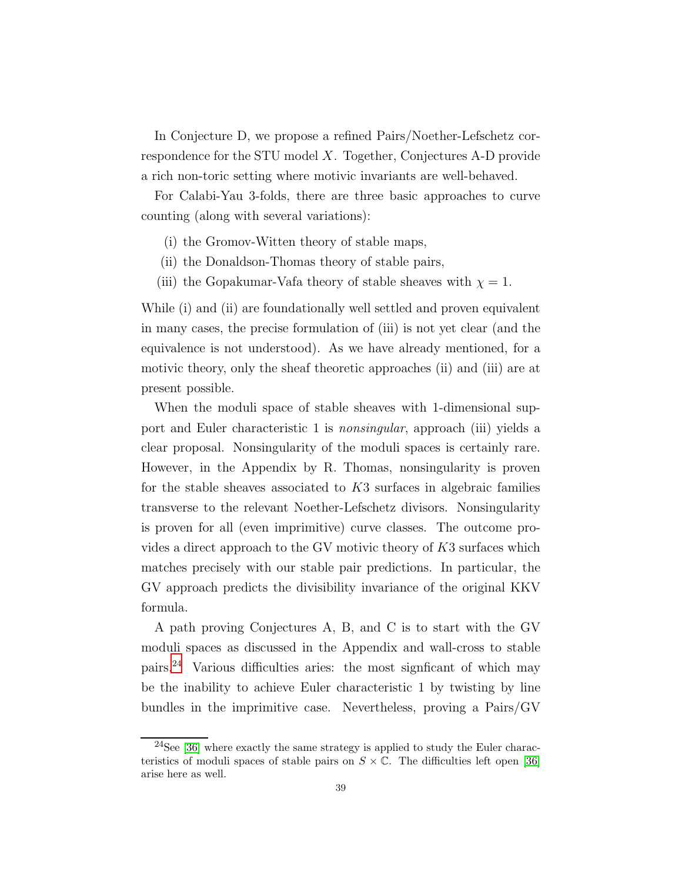In Conjecture D, we propose a refined Pairs/Noether-Lefschetz correspondence for the STU model X. Together, Conjectures A-D provide a rich non-toric setting where motivic invariants are well-behaved.

For Calabi-Yau 3-folds, there are three basic approaches to curve counting (along with several variations):

- (i) the Gromov-Witten theory of stable maps,
- (ii) the Donaldson-Thomas theory of stable pairs,
- (iii) the Gopakumar-Vafa theory of stable sheaves with  $\chi = 1$ .

While (i) and (ii) are foundationally well settled and proven equivalent in many cases, the precise formulation of (iii) is not yet clear (and the equivalence is not understood). As we have already mentioned, for a motivic theory, only the sheaf theoretic approaches (ii) and (iii) are at present possible.

When the moduli space of stable sheaves with 1-dimensional support and Euler characteristic 1 is nonsingular, approach (iii) yields a clear proposal. Nonsingularity of the moduli spaces is certainly rare. However, in the Appendix by R. Thomas, nonsingularity is proven for the stable sheaves associated to  $K3$  surfaces in algebraic families transverse to the relevant Noether-Lefschetz divisors. Nonsingularity is proven for all (even imprimitive) curve classes. The outcome provides a direct approach to the GV motivic theory of K3 surfaces which matches precisely with our stable pair predictions. In particular, the GV approach predicts the divisibility invariance of the original KKV formula.

A path proving Conjectures A, B, and C is to start with the GV moduli spaces as discussed in the Appendix and wall-cross to stable pairs.[24](#page-38-0) Various difficulties aries: the most signficant of which may be the inability to achieve Euler characteristic 1 by twisting by line bundles in the imprimitive case. Nevertheless, proving a Pairs/GV

<span id="page-38-0"></span> $24$ See [\[36\]](#page-46-6) where exactly the same strategy is applied to study the Euler characteristics of moduli spaces of stable pairs on  $S \times \mathbb{C}$ . The difficulties left open [\[36\]](#page-46-6) arise here as well.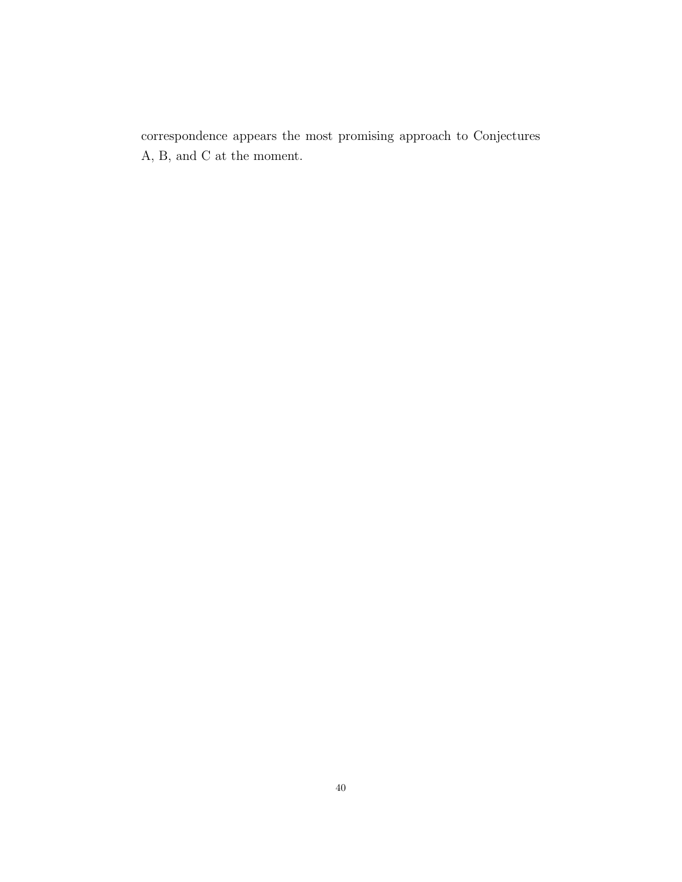correspondence appears the most promising approach to Conjectures A, B, and C at the moment.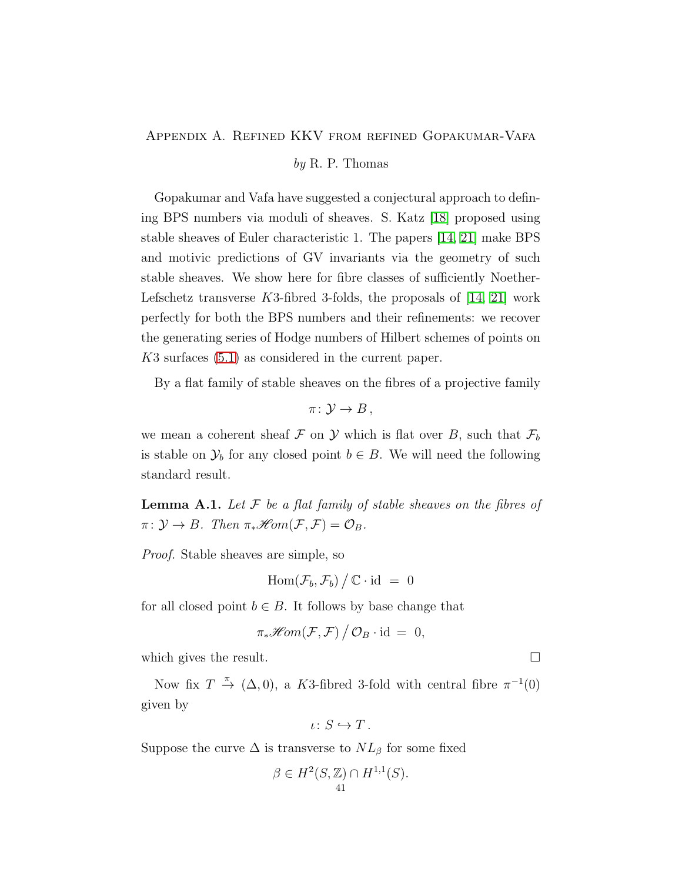### <span id="page-40-0"></span>Appendix A. Refined KKV from refined Gopakumar-Vafa

### $by R. P. Thomas$

Gopakumar and Vafa have suggested a conjectural approach to defining BPS numbers via moduli of sheaves. S. Katz [\[18\]](#page-45-5) proposed using stable sheaves of Euler characteristic 1. The papers [\[14,](#page-45-12) [21\]](#page-45-13) make BPS and motivic predictions of GV invariants via the geometry of such stable sheaves. We show here for fibre classes of sufficiently Noether-Lefschetz transverse  $K3$ -fibred 3-folds, the proposals of  $[14, 21]$  $[14, 21]$  work perfectly for both the BPS numbers and their refinements: we recover the generating series of Hodge numbers of Hilbert schemes of points on K3 surfaces [\(5.1\)](#page-10-2) as considered in the current paper.

By a flat family of stable sheaves on the fibres of a projective family

 $\pi\colon \mathcal{Y}\to B$ ,

we mean a coherent sheaf F on Y which is flat over B, such that  $\mathcal{F}_b$ is stable on  $\mathcal{Y}_b$  for any closed point  $b \in B$ . We will need the following standard result.

<span id="page-40-1"></span>**Lemma A.1.** Let  $\mathcal F$  be a flat family of stable sheaves on the fibres of  $\pi: \mathcal{Y} \to B$ . Then  $\pi_* \mathcal{H}om(\mathcal{F}, \mathcal{F}) = \mathcal{O}_B$ .

Proof. Stable sheaves are simple, so

$$
\operatorname{Hom}(\mathcal{F}_b,\mathcal{F}_b)\big/\,\mathbb{C}\cdot\operatorname{id}~=~0
$$

for all closed point  $b \in B$ . It follows by base change that

$$
\pi_*\mathscr{H}\!\mathit{om}(\mathcal{F},\mathcal{F})\big/\,\mathcal{O}_B\cdot\mathrm{id}\,=\,0,
$$

which gives the result.  $\Box$ 

Now fix  $T \stackrel{\pi}{\rightarrow} (\Delta, 0)$ , a K3-fibred 3-fold with central fibre  $\pi^{-1}(0)$ given by

$$
\iota\colon S\hookrightarrow T.
$$

Suppose the curve  $\Delta$  is transverse to  $NL_{\beta}$  for some fixed

$$
\beta \in H^2(S, \mathbb{Z}) \cap H^{1,1}(S).
$$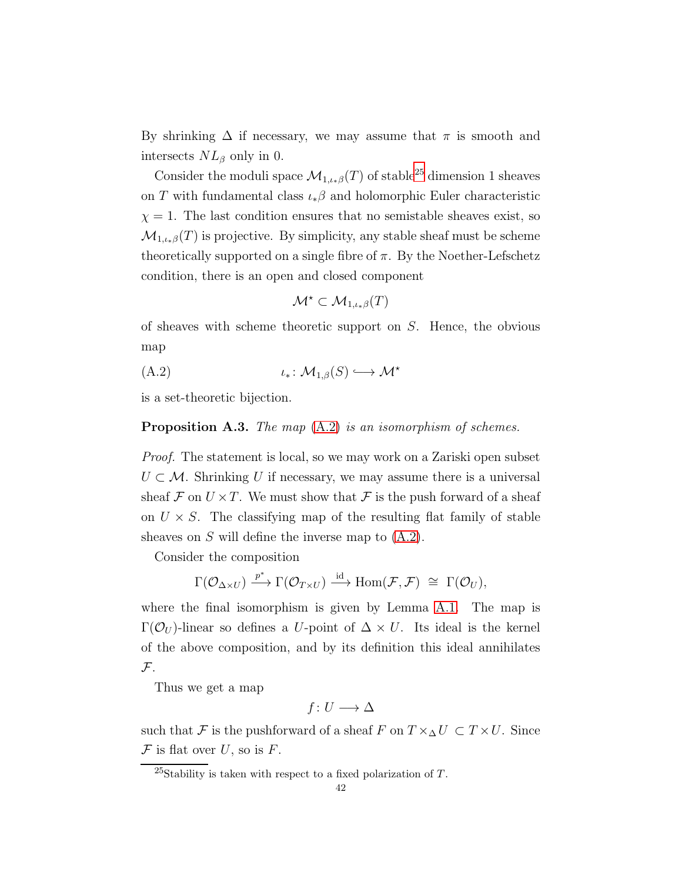By shrinking  $\Delta$  if necessary, we may assume that  $\pi$  is smooth and intersects  $NL_{\beta}$  only in 0.

Consider the moduli space  $\mathcal{M}_{1,\iota_{*}\beta}(T)$  of stable<sup>[25](#page-41-0)</sup> dimension 1 sheaves on T with fundamental class  $\iota_*\beta$  and holomorphic Euler characteristic  $\chi = 1$ . The last condition ensures that no semistable sheaves exist, so  $\mathcal{M}_{1,\iota_{*}\beta}(T)$  is projective. By simplicity, any stable sheaf must be scheme theoretically supported on a single fibre of  $\pi$ . By the Noether-Lefschetz condition, there is an open and closed component

<span id="page-41-1"></span>
$$
\mathcal{M}^\star \subset \mathcal{M}_{1,\iota_*\beta}(T)
$$

of sheaves with scheme theoretic support on S. Hence, the obvious map

$$
(A.2) \t\t\t t_*: \mathcal{M}_{1,\beta}(S) \hookrightarrow \mathcal{M}^*
$$

is a set-theoretic bijection.

### <span id="page-41-2"></span>**Proposition A.3.** The map  $(A.2)$  is an isomorphism of schemes.

Proof. The statement is local, so we may work on a Zariski open subset  $U \subset \mathcal{M}$ . Shrinking U if necessary, we may assume there is a universal sheaf F on  $U \times T$ . We must show that F is the push forward of a sheaf on  $U \times S$ . The classifying map of the resulting flat family of stable sheaves on  $S$  will define the inverse map to  $(A.2)$ .

Consider the composition

$$
\Gamma({\mathcal{O}}_{\Delta\times U})\stackrel{p^*}{\longrightarrow} \Gamma({\mathcal{O}}_{T\times U})\stackrel{\operatorname{id}}{\longrightarrow}\operatorname{Hom}(\mathcal{F},\mathcal{F})\,\,\cong\,\, \Gamma({\mathcal{O}}_U),
$$

where the final isomorphism is given by Lemma [A.1.](#page-40-1) The map is  $\Gamma(\mathcal{O}_U)$ -linear so defines a U-point of  $\Delta \times U$ . Its ideal is the kernel of the above composition, and by its definition this ideal annihilates  $\mathcal{F}.$ 

Thus we get a map

 $f: U \longrightarrow \Delta$ 

such that F is the pushforward of a sheaf F on  $T \times_\Delta U \subset T \times U$ . Since  $\mathcal F$  is flat over U, so is F.

<span id="page-41-0"></span><sup>&</sup>lt;sup>25</sup>Stability is taken with respect to a fixed polarization of  $T$ .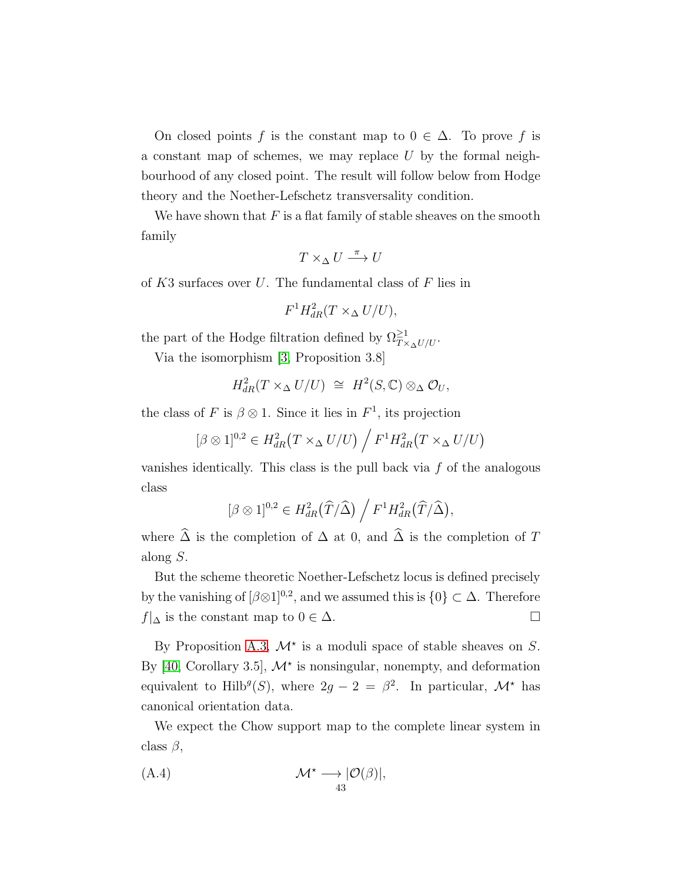On closed points f is the constant map to  $0 \in \Delta$ . To prove f is a constant map of schemes, we may replace  $U$  by the formal neighbourhood of any closed point. The result will follow below from Hodge theory and the Noether-Lefschetz transversality condition.

We have shown that  $F$  is a flat family of stable sheaves on the smooth family

$$
T \times_{\Delta} U \stackrel{\pi}{\longrightarrow} U
$$

of  $K3$  surfaces over U. The fundamental class of F lies in

$$
F^1 H_{dR}^2(T \times_\Delta U/U),
$$

the part of the Hodge filtration defined by  $\Omega_{T\times_{\Delta}U/U}^{\geq 1}$ .

Via the isomorphism [\[3,](#page-44-6) Proposition 3.8]

$$
H_{dR}^2(T \times_\Delta U/U) \cong H^2(S, \mathbb{C}) \otimes_\Delta \mathcal{O}_U,
$$

the class of F is  $\beta \otimes 1$ . Since it lies in  $F^1$ , its projection

$$
[\beta \otimes 1]^{0,2} \in H^2_{dR}(T \times_\Delta U/U) / F^1 H^2_{dR}(T \times_\Delta U/U)
$$

vanishes identically. This class is the pull back via  $f$  of the analogous class

$$
[\beta \otimes 1]^{0,2} \in H^2_{dR}(\widehat{T}/\widehat{\Delta}) / F^1 H^2_{dR}(\widehat{T}/\widehat{\Delta}),
$$

where  $\widehat{\Delta}$  is the completion of  $\Delta$  at 0, and  $\widehat{\Delta}$  is the completion of T along S.

But the scheme theoretic Noether-Lefschetz locus is defined precisely by the vanishing of  $\lbrack \beta \otimes 1 \rbrack^{0,2}$ , and we assumed this is  $\{0\} \subset \Delta$ . Therefore  $f|_{\Delta}$  is the constant map to  $0 \in \Delta$ .

By Proposition [A.3,](#page-41-2)  $\mathcal{M}^*$  is a moduli space of stable sheaves on S. By [\[40,](#page-46-7) Corollary 3.5],  $\mathcal{M}^*$  is nonsingular, nonempty, and deformation equivalent to Hilb<sup>g</sup>(S), where  $2g - 2 = \beta^2$ . In particular,  $\mathcal{M}^*$  has canonical orientation data.

We expect the Chow support map to the complete linear system in class  $\beta$ ,

<span id="page-42-0"></span>(A.4) 
$$
\mathcal{M}^* \longrightarrow |\mathcal{O}(\beta)|, 43
$$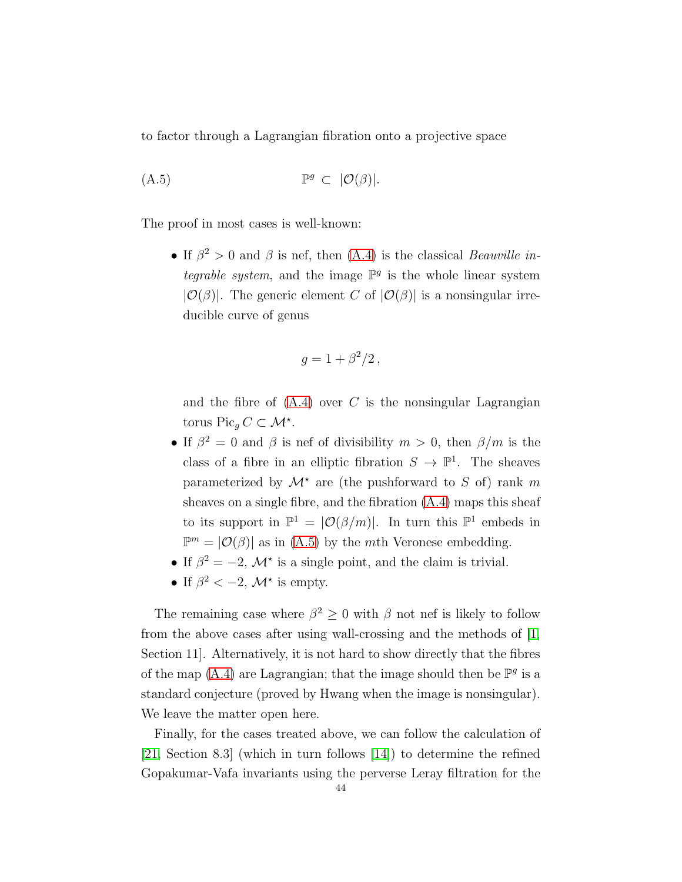to factor through a Lagrangian fibration onto a projective space

$$
(A.5) \t\t\t \mathbb{P}^g \subset |\mathcal{O}(\beta)|.
$$

The proof in most cases is well-known:

<span id="page-43-0"></span>• If  $\beta^2 > 0$  and  $\beta$  is nef, then [\(A.4\)](#page-42-0) is the classical *Beauville in*tegrable system, and the image  $\mathbb{P}^g$  is the whole linear system  $|\mathcal{O}(\beta)|$ . The generic element C of  $|\mathcal{O}(\beta)|$  is a nonsingular irreducible curve of genus

$$
g=1+\beta^2/2\,,
$$

and the fibre of  $(A.4)$  over C is the nonsingular Lagrangian torus Pic<sub>g</sub>  $C \subset \mathcal{M}^*$ .

- If  $\beta^2 = 0$  and  $\beta$  is nef of divisibility  $m > 0$ , then  $\beta/m$  is the class of a fibre in an elliptic fibration  $S \to \mathbb{P}^1$ . The sheaves parameterized by  $\mathcal{M}^*$  are (the pushforward to S of) rank m sheaves on a single fibre, and the fibration [\(A.4\)](#page-42-0) maps this sheaf to its support in  $\mathbb{P}^1 = |\mathcal{O}(\beta/m)|$ . In turn this  $\mathbb{P}^1$  embeds in  $\mathbb{P}^m = |\mathcal{O}(\beta)|$  as in [\(A.5\)](#page-43-0) by the *mth* Veronese embedding.
- If  $\beta^2 = -2$ ,  $\mathcal{M}^*$  is a single point, and the claim is trivial.
- If  $\beta^2 < -2$ ,  $\mathcal{M}^*$  is empty.

The remaining case where  $\beta^2 \geq 0$  with  $\beta$  not nef is likely to follow from the above cases after using wall-crossing and the methods of [\[1,](#page-44-7) Section 11]. Alternatively, it is not hard to show directly that the fibres of the map  $(A.4)$  are Lagrangian; that the image should then be  $\mathbb{P}^g$  is a standard conjecture (proved by Hwang when the image is nonsingular). We leave the matter open here.

Finally, for the cases treated above, we can follow the calculation of [\[21,](#page-45-13) Section 8.3] (which in turn follows [\[14\]](#page-45-12)) to determine the refined Gopakumar-Vafa invariants using the perverse Leray filtration for the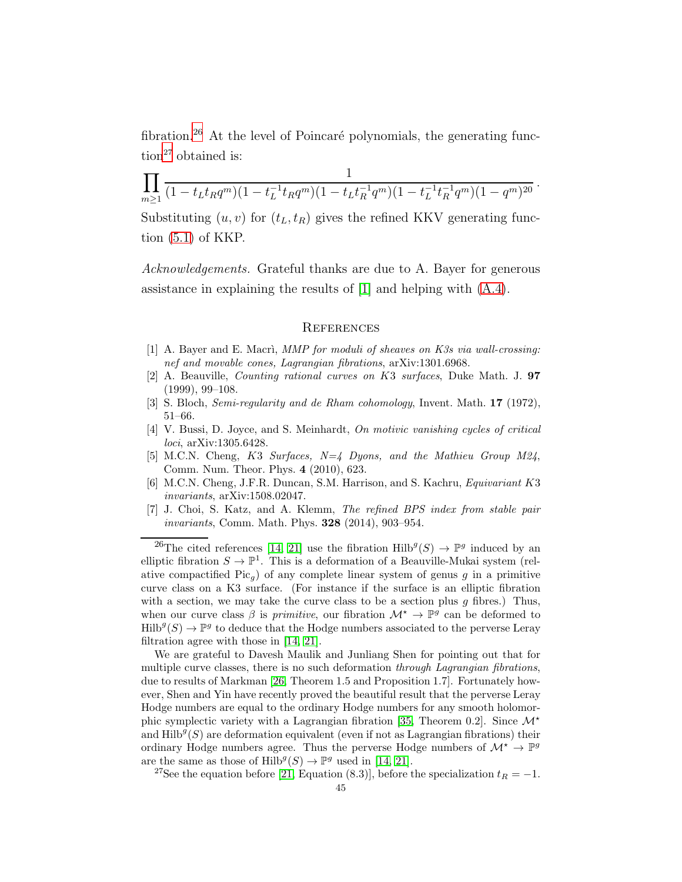fibration.<sup>[26](#page-44-8)</sup> At the level of Poincaré polynomials, the generating func- $\binom{1}{2}$  obtained is:

$$
\prod_{m\geq 1} \frac{1}{(1-t_L t_R q^m)(1-t_L^{-1} t_R q^m)(1-t_L t_R^{-1} q^m)(1-t_L^{-1} t_R^{-1} q^m)(1-q^m)^{20}}.
$$

Substituting  $(u, v)$  for  $(t_L, t_R)$  gives the refined KKV generating function [\(5.1\)](#page-10-2) of KKP.

Acknowledgements. Grateful thanks are due to A. Bayer for generous assistance in explaining the results of [\[1\]](#page-44-7) and helping with [\(A.4\)](#page-42-0).

#### <span id="page-44-0"></span>**REFERENCES**

- <span id="page-44-7"></span><span id="page-44-1"></span>[1] A. Bayer and E. Macri, MMP for moduli of sheaves on K3s via wall-crossing: nef and movable cones, Lagrangian fibrations, arXiv:1301.6968.
- [2] A. Beauville, Counting rational curves on K3 surfaces, Duke Math. J. 97 (1999), 99–108.
- <span id="page-44-6"></span><span id="page-44-2"></span>[3] S. Bloch, Semi-regularity and de Rham cohomology, Invent. Math. 17 (1972), 51–66.
- [4] V. Bussi, D. Joyce, and S. Meinhardt, On motivic vanishing cycles of critical loci, arXiv:1305.6428.
- <span id="page-44-4"></span>[5] M.C.N. Cheng, K3 Surfaces, N=4 Dyons, and the Mathieu Group M24, Comm. Num. Theor. Phys. 4 (2010), 623.
- <span id="page-44-5"></span>[6] M.C.N. Cheng, J.F.R. Duncan, S.M. Harrison, and S. Kachru, Equivariant K3 invariants, arXiv:1508.02047.
- <span id="page-44-3"></span>[7] J. Choi, S. Katz, and A. Klemm, The refined BPS index from stable pair invariants, Comm. Math. Phys. 328 (2014), 903–954.

<span id="page-44-8"></span><sup>26</sup>The cited references [\[14,](#page-45-12) [21\]](#page-45-13) use the fibration  $\text{Hilb}^g(S) \to \mathbb{P}^g$  induced by an elliptic fibration  $S \to \mathbb{P}^1$ . This is a deformation of a Beauville-Mukai system (relative compactified  $Pic_q$ ) of any complete linear system of genus g in a primitive curve class on a K3 surface. (For instance if the surface is an elliptic fibration with a section, we may take the curve class to be a section plus  $g$  fibres.) Thus, when our curve class  $\beta$  is *primitive*, our fibration  $\mathcal{M}^* \to \mathbb{P}^g$  can be deformed to  $\text{Hilb}^g(S) \to \mathbb{P}^g$  to deduce that the Hodge numbers associated to the perverse Leray filtration agree with those in [\[14,](#page-45-12) [21\]](#page-45-13).

We are grateful to Davesh Maulik and Junliang Shen for pointing out that for multiple curve classes, there is no such deformation through Lagrangian fibrations, due to results of Markman [\[26,](#page-45-22) Theorem 1.5 and Proposition 1.7]. Fortunately however, Shen and Yin have recently proved the beautiful result that the perverse Leray Hodge numbers are equal to the ordinary Hodge numbers for any smooth holomor-phic symplectic variety with a Lagrangian fibration [\[35,](#page-46-8) Theorem 0.2]. Since  $\mathcal{M}^*$ and  $\text{Hilb}^g(S)$  are deformation equivalent (even if not as Lagrangian fibrations) their ordinary Hodge numbers agree. Thus the perverse Hodge numbers of  $\mathcal{M}^* \to \mathbb{P}^g$ are the same as those of  $\text{Hilb}^g(S) \to \mathbb{P}^g$  used in [\[14,](#page-45-12) [21\]](#page-45-13).

<span id="page-44-9"></span><sup>27</sup>See the equation before [\[21,](#page-45-13) Equation (8.3)], before the specialization  $t_R = -1$ .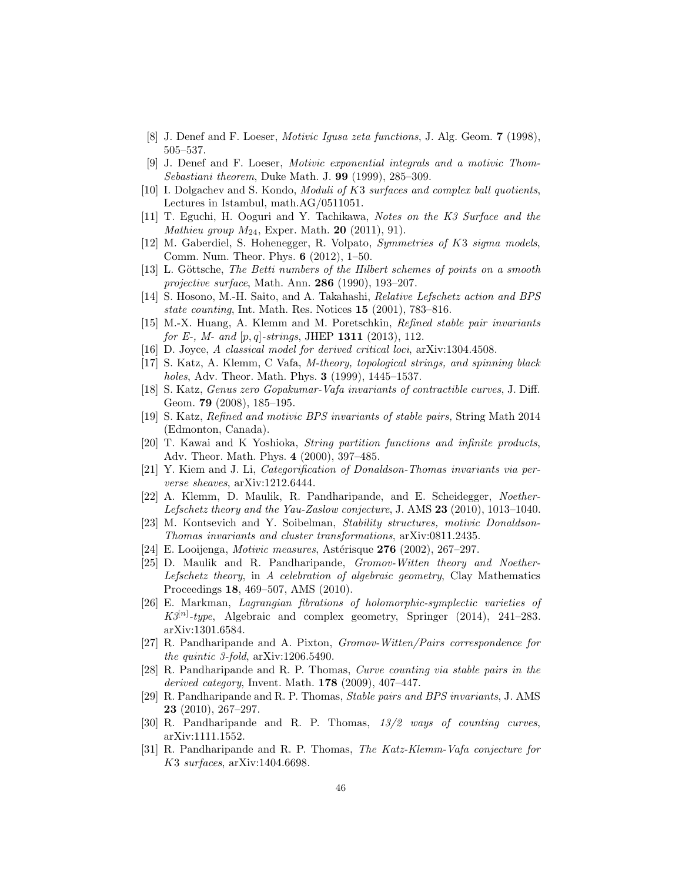- <span id="page-45-19"></span><span id="page-45-7"></span>[8] J. Denef and F. Loeser, Motivic Igusa zeta functions, J. Alg. Geom. 7 (1998), 505–537.
- [9] J. Denef and F. Loeser, Motivic exponential integrals and a motivic Thom-Sebastiani theorem, Duke Math. J. 99 (1999), 285–309.
- <span id="page-45-21"></span>[10] I. Dolgachev and S. Kondo, Moduli of K3 surfaces and complex ball quotients, Lectures in Istambul, math.AG/0511051.
- <span id="page-45-16"></span>[11] T. Eguchi, H. Ooguri and Y. Tachikawa, Notes on the K3 Surface and the *Mathieu group*  $M_{24}$ , Exper. Math. **20** (2011), 91).
- <span id="page-45-17"></span>[12] M. Gaberdiel, S. Hohenegger, R. Volpato, Symmetries of K3 sigma models, Comm. Num. Theor. Phys. 6 (2012), 1–50.
- <span id="page-45-0"></span>[13] L. Göttsche, The Betti numbers of the Hilbert schemes of points on a smooth projective surface, Math. Ann. 286 (1990), 193–207.
- <span id="page-45-12"></span>[14] S. Hosono, M.-H. Saito, and A. Takahashi, Relative Lefschetz action and BPS state counting, Int. Math. Res. Notices 15 (2001), 783–816.
- <span id="page-45-14"></span>[15] M.-X. Huang, A. Klemm and M. Poretschkin, Refined stable pair invariants for E-, M- and  $[p, q]$ -strings, JHEP 1311 (2013), 112.
- <span id="page-45-18"></span><span id="page-45-1"></span>[16] D. Joyce, A classical model for derived critical loci, arXiv:1304.4508.
- [17] S. Katz, A. Klemm, C Vafa, M-theory, topological strings, and spinning black holes, Adv. Theor. Math. Phys. 3 (1999), 1445–1537.
- <span id="page-45-5"></span>[18] S. Katz, Genus zero Gopakumar-Vafa invariants of contractible curves, J. Diff. Geom. **79** (2008), 185-195.
- <span id="page-45-15"></span>[19] S. Katz, Refined and motivic BPS invariants of stable pairs, String Math 2014 (Edmonton, Canada).
- <span id="page-45-10"></span>[20] T. Kawai and K Yoshioka, String partition functions and infinite products, Adv. Theor. Math. Phys. 4 (2000), 397–485.
- <span id="page-45-20"></span><span id="page-45-13"></span>[21] Y. Kiem and J. Li, Categorification of Donaldson-Thomas invariants via perverse sheaves, arXiv:1212.6444.
- [22] A. Klemm, D. Maulik, R. Pandharipande, and E. Scheidegger, Noether-Lefschetz theory and the Yau-Zaslow conjecture, J. AMS 23 (2010), 1013–1040.
- <span id="page-45-9"></span>[23] M. Kontsevich and Y. Soibelman, Stability structures, motivic Donaldson-Thomas invariants and cluster transformations, arXiv:0811.2435.
- <span id="page-45-8"></span><span id="page-45-4"></span>[24] E. Looijenga, *Motivic measures*, Astérisque  $276$  (2002), 267–297.
- [25] D. Maulik and R. Pandharipande, *Gromov-Witten theory and Noether-*Lefschetz theory, in A celebration of algebraic geometry, Clay Mathematics Proceedings 18, 469–507, AMS (2010).
- <span id="page-45-22"></span>[26] E. Markman, Lagrangian fibrations of holomorphic-symplectic varieties of  $K3^{[n]}$ -type, Algebraic and complex geometry, Springer (2014), 241-283. arXiv:1301.6584.
- <span id="page-45-6"></span>[27] R. Pandharipande and A. Pixton, Gromov-Witten/Pairs correspondence for the quintic 3-fold, arXiv:1206.5490.
- <span id="page-45-3"></span>[28] R. Pandharipande and R. P. Thomas, Curve counting via stable pairs in the derived category, Invent. Math. 178 (2009), 407–447.
- <span id="page-45-11"></span>[29] R. Pandharipande and R. P. Thomas, Stable pairs and BPS invariants, J. AMS 23 (2010), 267–297.
- <span id="page-45-2"></span>[30] R. Pandharipande and R. P. Thomas, 13/2 ways of counting curves, arXiv:1111.1552.
- [31] R. Pandharipande and R. P. Thomas, The Katz-Klemm-Vafa conjecture for K3 surfaces, arXiv:1404.6698.